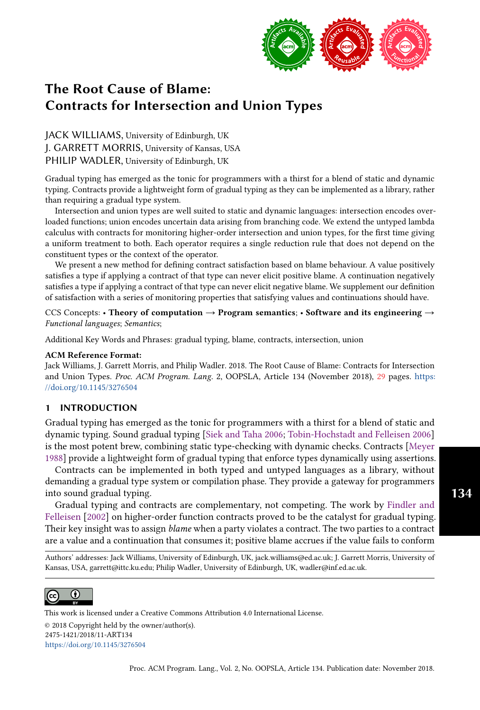

JACK WILLIAMS, University of Edinburgh, UK J. GARRETT MORRIS, University of Kansas, USA PHILIP WADLER, University of Edinburgh, UK

Gradual typing has emerged as the tonic for programmers with a thirst for a blend of static and dynamic typing. Contracts provide a lightweight form of gradual typing as they can be implemented as a library, rather than requiring a gradual type system.

Intersection and union types are well suited to static and dynamic languages: intersection encodes overloaded functions; union encodes uncertain data arising from branching code. We extend the untyped lambda calculus with contracts for monitoring higher-order intersection and union types, for the first time giving a uniform treatment to both. Each operator requires a single reduction rule that does not depend on the constituent types or the context of the operator.

We present a new method for defining contract satisfaction based on blame behaviour. A value positively satisfies a type if applying a contract of that type can never elicit positive blame. A continuation negatively satisfies a type if applying a contract of that type can never elicit negative blame. We supplement our definition of satisfaction with a series of monitoring properties that satisfying values and continuations should have.

CCS Concepts: • Theory of computation  $\rightarrow$  Program semantics; • Software and its engineering  $\rightarrow$ Functional languages; Semantics;

Additional Key Words and Phrases: gradual typing, blame, contracts, intersection, union

#### ACM Reference Format:

Jack Williams, J. Garrett Morris, and Philip Wadler. 2018. The Root Cause of Blame: Contracts for Intersection and Union Types. Proc. ACM Program. Lang. 2, OOPSLA, Article 134 (November 2018), [29](#page-28-0) pages. [https:](https://doi.org/10.1145/3276504) [//doi.org/10.1145/3276504](https://doi.org/10.1145/3276504)

## 1 INTRODUCTION

Gradual typing has emerged as the tonic for programmers with a thirst for a blend of static and dynamic typing. Sound gradual typing [\[Siek and Taha 2006;](#page-27-0) [Tobin-Hochstadt and Felleisen 2006\]](#page-28-1) is the most potent brew, combining static type-checking with dynamic checks. Contracts [\[Meyer](#page-27-1) [1988\]](#page-27-1) provide a lightweight form of gradual typing that enforce types dynamically using assertions.

Contracts can be implemented in both typed and untyped languages as a library, without demanding a gradual type system or compilation phase. They provide a gateway for programmers into sound gradual typing.

Gradual typing and contracts are complementary, not competing. The work by [Findler and](#page-27-2) [Felleisen](#page-27-2) [\[2002\]](#page-27-2) on higher-order function contracts proved to be the catalyst for gradual typing. Their key insight was to assign *blame* when a party violates a contract. The two parties to a contract are a value and a continuation that consumes it; positive blame accrues if the value fails to conform

Authors' addresses: Jack Williams, University of Edinburgh, UK, jack.williams@ed.ac.uk; J. Garrett Morris, University of Kansas, USA, garrett@ittc.ku.edu; Philip Wadler, University of Edinburgh, UK, wadler@inf.ed.ac.uk.



This work is licensed under a Creative Commons Attribution 4.0 International License.

© 2018 Copyright held by the owner/author(s). 2475-1421/2018/11-ART134 <https://doi.org/10.1145/3276504>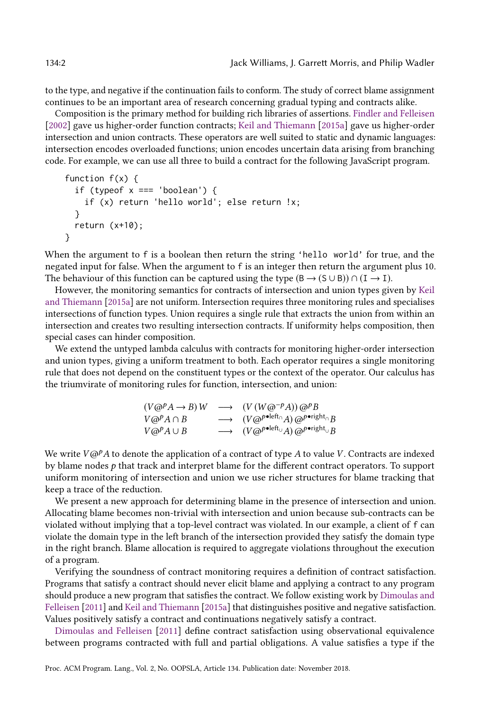to the type, and negative if the continuation fails to conform. The study of correct blame assignment continues to be an important area of research concerning gradual typing and contracts alike.

Composition is the primary method for building rich libraries of assertions. [Findler and Felleisen](#page-27-2) [\[2002\]](#page-27-2) gave us higher-order function contracts; [Keil and Thiemann](#page-27-3) [\[2015a\]](#page-27-3) gave us higher-order intersection and union contracts. These operators are well suited to static and dynamic languages: intersection encodes overloaded functions; union encodes uncertain data arising from branching code. For example, we can use all three to build a contract for the following JavaScript program.

```
function f(x) {
  if (typeof x == 'boolean') {
    if (x) return 'hello world'; else return !x;
  }
  return (x+10);
}
```
When the argument to f is a boolean then return the string 'hello world' for true, and the negated input for false. When the argument to f is an integer then return the argument plus 10. The behaviour of this function can be captured using the type  $(B \rightarrow (S \cup B)) \cap (I \rightarrow I)$ .

However, the monitoring semantics for contracts of intersection and union types given by [Keil](#page-27-3) [and Thiemann](#page-27-3) [\[2015a\]](#page-27-3) are not uniform. Intersection requires three monitoring rules and specialises intersections of function types. Union requires a single rule that extracts the union from within an intersection and creates two resulting intersection contracts. If uniformity helps composition, then special cases can hinder composition.

We extend the untyped lambda calculus with contracts for monitoring higher-order intersection and union types, giving a uniform treatment to both. Each operator requires a single monitoring rule that does not depend on the constituent types or the context of the operator. Our calculus has the triumvirate of monitoring rules for function, intersection, and union:

| $(V@^pA \rightarrow B)W$ | $\longrightarrow$ $(V(W @^{-p}A)) @^{p}B$                                                      |
|--------------------------|------------------------------------------------------------------------------------------------|
| $V @^p A \cap B$         | $\longrightarrow$ $(V @^{p \bullet \text{left}_{\cap} A) @^{p \bullet \text{right}_{\cap} B}$  |
| $V @^p A \cup B$         | $\longrightarrow$ $(V @^{p \bullet \text{left}_{\cup}} A) @^{p \bullet \text{right}_{\cup}} B$ |

We write  $V\omega^p A$  to denote the application of a contract of type A to value V. Contracts are indexed by blame nodes p that track and interpret blame for the different contract operators. To support uniform monitoring of intersection and union we use richer structures for blame tracking that keep a trace of the reduction.

We present a new approach for determining blame in the presence of intersection and union. Allocating blame becomes non-trivial with intersection and union because sub-contracts can be violated without implying that a top-level contract was violated. In our example, a client of f can violate the domain type in the left branch of the intersection provided they satisfy the domain type in the right branch. Blame allocation is required to aggregate violations throughout the execution of a program.

Verifying the soundness of contract monitoring requires a definition of contract satisfaction. Programs that satisfy a contract should never elicit blame and applying a contract to any program should produce a new program that satisfies the contract. We follow existing work by [Dimoulas and](#page-27-4) [Felleisen](#page-27-4) [\[2011\]](#page-27-4) and [Keil and Thiemann](#page-27-3) [\[2015a\]](#page-27-3) that distinguishes positive and negative satisfaction. Values positively satisfy a contract and continuations negatively satisfy a contract.

[Dimoulas and Felleisen](#page-27-4) [\[2011\]](#page-27-4) define contract satisfaction using observational equivalence between programs contracted with full and partial obligations. A value satisfies a type if the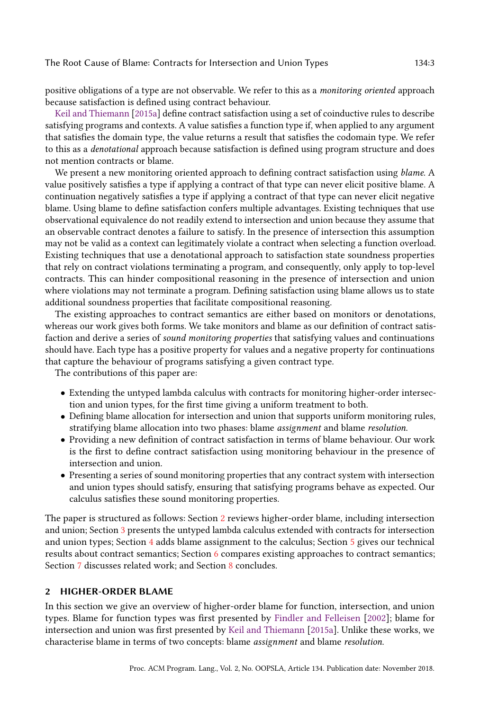positive obligations of a type are not observable. We refer to this as a monitoring oriented approach because satisfaction is defined using contract behaviour.

[Keil and Thiemann](#page-27-3) [\[2015a\]](#page-27-3) define contract satisfaction using a set of coinductive rules to describe satisfying programs and contexts. A value satisfies a function type if, when applied to any argument that satisfies the domain type, the value returns a result that satisfies the codomain type. We refer to this as a denotational approach because satisfaction is defined using program structure and does not mention contracts or blame.

We present a new monitoring oriented approach to defining contract satisfaction using *blame*. A value positively satisfies a type if applying a contract of that type can never elicit positive blame. A continuation negatively satisfies a type if applying a contract of that type can never elicit negative blame. Using blame to define satisfaction confers multiple advantages. Existing techniques that use observational equivalence do not readily extend to intersection and union because they assume that an observable contract denotes a failure to satisfy. In the presence of intersection this assumption may not be valid as a context can legitimately violate a contract when selecting a function overload. Existing techniques that use a denotational approach to satisfaction state soundness properties that rely on contract violations terminating a program, and consequently, only apply to top-level contracts. This can hinder compositional reasoning in the presence of intersection and union where violations may not terminate a program. Defining satisfaction using blame allows us to state additional soundness properties that facilitate compositional reasoning.

The existing approaches to contract semantics are either based on monitors or denotations, whereas our work gives both forms. We take monitors and blame as our definition of contract satisfaction and derive a series of sound monitoring properties that satisfying values and continuations should have. Each type has a positive property for values and a negative property for continuations that capture the behaviour of programs satisfying a given contract type.

The contributions of this paper are:

- Extending the untyped lambda calculus with contracts for monitoring higher-order intersection and union types, for the first time giving a uniform treatment to both.
- Defining blame allocation for intersection and union that supports uniform monitoring rules, stratifying blame allocation into two phases: blame assignment and blame resolution.
- Providing a new definition of contract satisfaction in terms of blame behaviour. Our work is the first to define contract satisfaction using monitoring behaviour in the presence of intersection and union.
- Presenting a series of sound monitoring properties that any contract system with intersection and union types should satisfy, ensuring that satisfying programs behave as expected. Our calculus satisfies these sound monitoring properties.

The paper is structured as follows: Section [2](#page-2-0) reviews higher-order blame, including intersection and union; Section [3](#page-8-0) presents the untyped lambda calculus extended with contracts for intersection and union types; Section [4](#page-11-0) adds blame assignment to the calculus; Section [5](#page-17-0) gives our technical results about contract semantics; Section [6](#page-22-0) compares existing approaches to contract semantics; Section [7](#page-25-0) discusses related work; and Section [8](#page-26-0) concludes.

#### <span id="page-2-0"></span>2 HIGHER-ORDER BLAME

In this section we give an overview of higher-order blame for function, intersection, and union types. Blame for function types was first presented by [Findler and Felleisen](#page-27-2) [\[2002\]](#page-27-2); blame for intersection and union was first presented by [Keil and Thiemann](#page-27-3) [\[2015a\]](#page-27-3). Unlike these works, we characterise blame in terms of two concepts: blame assignment and blame resolution.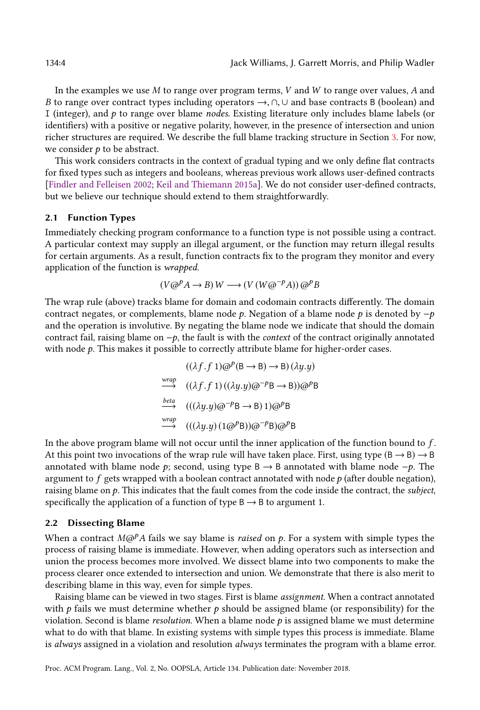In the examples we use  $M$  to range over program terms,  $V$  and  $W$  to range over values,  $A$  and B to range over contract types including operators  $\rightarrow$ ,  $\cap$ ,  $\cup$  and base contracts B (boolean) and I (integer), and p to range over blame nodes. Existing literature only includes blame labels (or identifiers) with a positive or negative polarity, however, in the presence of intersection and union richer structures are required. We describe the full blame tracking structure in Section [3.](#page-8-0) For now, we consider  $p$  to be abstract.

This work considers contracts in the context of gradual typing and we only define flat contracts for fixed types such as integers and booleans, whereas previous work allows user-defined contracts [\[Findler and Felleisen 2002;](#page-27-2) [Keil and Thiemann 2015a\]](#page-27-3). We do not consider user-defined contracts, but we believe our technique should extend to them straightforwardly.

# 2.1 Function Types

Immediately checking program conformance to a function type is not possible using a contract. A particular context may supply an illegal argument, or the function may return illegal results for certain arguments. As a result, function contracts fix to the program they monitor and every application of the function is wrapped.

$$
(V \mathcal{Q}^P A \to B) W \longrightarrow (V (W \mathcal{Q}^{-P} A)) \mathcal{Q}^P B
$$

The wrap rule (above) tracks blame for domain and codomain contracts differently. The domain contract negates, or complements, blame node p. Negation of a blame node p is denoted by  $-p$ and the operation is involutive. By negating the blame node we indicate that should the domain contract fail, raising blame on  $-p$ , the fault is with the *context* of the contract originally annotated with node  $p$ . This makes it possible to correctly attribute blame for higher-order cases.

$$
((\lambda f. f 1) \omega^p (\mathbf{B} \to \mathbf{B}) \to \mathbf{B}) (\lambda y. y)
$$
  
\n
$$
\xrightarrow{\text{wrap}} ((\lambda f. f 1) ((\lambda y. y) \omega^{-p} \mathbf{B} \to \mathbf{B})) \omega^p \mathbf{B}
$$
  
\n
$$
\xrightarrow{\text{beta}} (((\lambda y. y) \omega^{-p} \mathbf{B} \to \mathbf{B}) 1) \omega^p \mathbf{B}
$$
  
\n
$$
\xrightarrow{\text{wrap}} (((\lambda y. y) (1 \omega^p \mathbf{B})) \omega^{-p} \mathbf{B}) \omega^p \mathbf{B}
$$

In the above program blame will not occur until the inner application of the function bound to  $f$ . At this point two invocations of the wrap rule will have taken place. First, using type  $(B \rightarrow B) \rightarrow B$ annotated with blame node p; second, using type  $B \rightarrow B$  annotated with blame node  $-p$ . The argument to f gets wrapped with a boolean contract annotated with node  $p$  (after double negation), raising blame on p. This indicates that the fault comes from the code inside the contract, the *subject*, specifically the application of a function of type  $B \rightarrow B$  to argument 1.

# 2.2 Dissecting Blame

When a contract  $M\omega^p A$  fails we say blame is *raised* on p. For a system with simple types the process of raising blame is immediate. However, when adding operators such as intersection and union the process becomes more involved. We dissect blame into two components to make the process clearer once extended to intersection and union. We demonstrate that there is also merit to describing blame in this way, even for simple types.

Raising blame can be viewed in two stages. First is blame assignment. When a contract annotated with  $p$  fails we must determine whether  $p$  should be assigned blame (or responsibility) for the violation. Second is blame *resolution*. When a blame node  $p$  is assigned blame we must determine what to do with that blame. In existing systems with simple types this process is immediate. Blame is *always* assigned in a violation and resolution *always* terminates the program with a blame error.

Proc. ACM Program. Lang., Vol. 2, No. OOPSLA, Article 134. Publication date: November 2018.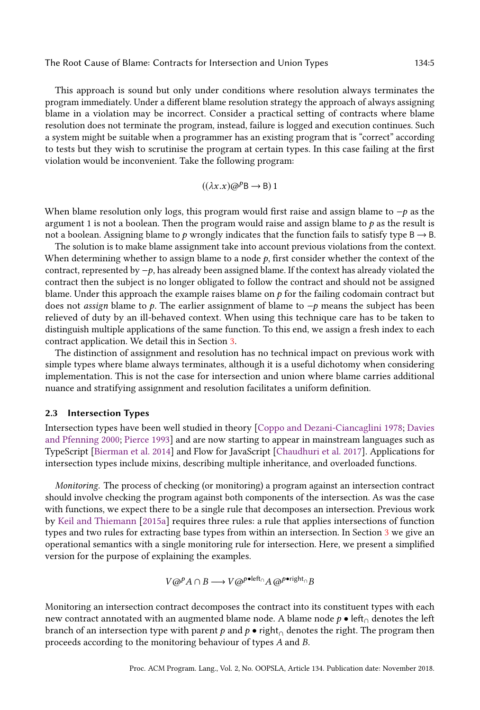This approach is sound but only under conditions where resolution always terminates the program immediately. Under a different blame resolution strategy the approach of always assigning blame in a violation may be incorrect. Consider a practical setting of contracts where blame resolution does not terminate the program, instead, failure is logged and execution continues. Such a system might be suitable when a programmer has an existing program that is "correct" according to tests but they wish to scrutinise the program at certain types. In this case failing at the first violation would be inconvenient. Take the following program:

 $((\lambda x.x) \omega^p B \rightarrow B) 1$ 

When blame resolution only logs, this program would first raise and assign blame to  $-p$  as the argument 1 is not a boolean. Then the program would raise and assign blame to  $p$  as the result is not a boolean. Assigning blame to p wrongly indicates that the function fails to satisfy type  $B \rightarrow B$ .

The solution is to make blame assignment take into account previous violations from the context. When determining whether to assign blame to a node  $p$ , first consider whether the context of the contract, represented by −p, has already been assigned blame. If the context has already violated the contract then the subject is no longer obligated to follow the contract and should not be assigned blame. Under this approach the example raises blame on  $p$  for the failing codomain contract but does not *assign* blame to p. The earlier assignment of blame to  $-p$  means the subject has been relieved of duty by an ill-behaved context. When using this technique care has to be taken to distinguish multiple applications of the same function. To this end, we assign a fresh index to each contract application. We detail this in Section [3.](#page-8-0)

The distinction of assignment and resolution has no technical impact on previous work with simple types where blame always terminates, although it is a useful dichotomy when considering implementation. This is not the case for intersection and union where blame carries additional nuance and stratifying assignment and resolution facilitates a uniform definition.

#### 2.3 Intersection Types

Intersection types have been well studied in theory [\[Coppo and Dezani-Ciancaglini 1978;](#page-27-5) [Davies](#page-27-6) [and Pfenning 2000;](#page-27-6) [Pierce 1993\]](#page-27-7) and are now starting to appear in mainstream languages such as TypeScript [\[Bierman et al.](#page-27-8) [2014\]](#page-27-8) and Flow for JavaScript [\[Chaudhuri et al.](#page-27-9) [2017\]](#page-27-9). Applications for intersection types include mixins, describing multiple inheritance, and overloaded functions.

Monitoring. The process of checking (or monitoring) a program against an intersection contract should involve checking the program against both components of the intersection. As was the case with functions, we expect there to be a single rule that decomposes an intersection. Previous work by [Keil and Thiemann](#page-27-3) [\[2015a\]](#page-27-3) requires three rules: a rule that applies intersections of function types and two rules for extracting base types from within an intersection. In Section [3](#page-8-0) we give an operational semantics with a single monitoring rule for intersection. Here, we present a simplified version for the purpose of explaining the examples.

$$
V @^p A \cap B \longrightarrow V @^{p \bullet \mathrm{left}_\cap} A @^{p \bullet \mathrm{right}_\cap} B
$$

Monitoring an intersection contract decomposes the contract into its constituent types with each new contract annotated with an augmented blame node. A blame node  $p \cdot \text{left}_{\cap}$  denotes the left branch of an intersection type with parent  $p$  and  $p\bullet$  right $_\cap$  denotes the right. The program then proceeds according to the monitoring behaviour of types A and B.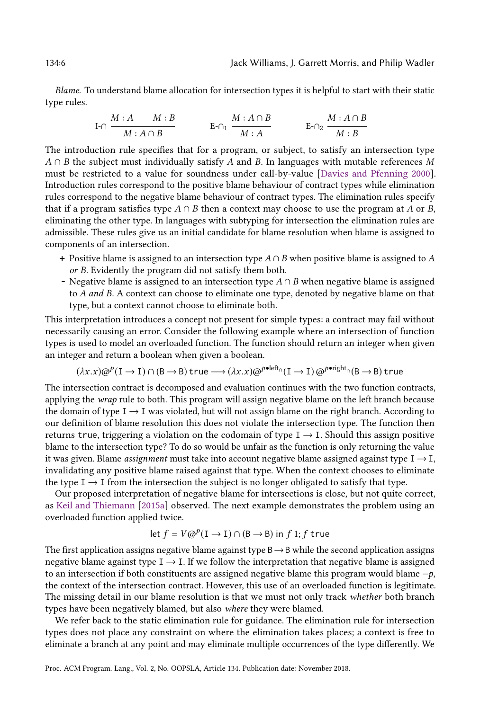Blame. To understand blame allocation for intersection types it is helpful to start with their static type rules.

I-
$$
\cap
$$
  $\frac{M:A \quad M:B}{M:A\cap B}$   $E-\cap_1 \frac{M:A\cap B}{M:A}$   $E-\cap_2 \frac{M:A\cap B}{M:B}$ 

The introduction rule specifies that for a program, or subject, to satisfy an intersection type  $A \cap B$  the subject must individually satisfy A and B. In languages with mutable references M must be restricted to a value for soundness under call-by-value [\[Davies and Pfenning 2000\]](#page-27-6). Introduction rules correspond to the positive blame behaviour of contract types while elimination rules correspond to the negative blame behaviour of contract types. The elimination rules specify that if a program satisfies type  $A \cap B$  then a context may choose to use the program at A or B, eliminating the other type. In languages with subtyping for intersection the elimination rules are admissible. These rules give us an initial candidate for blame resolution when blame is assigned to components of an intersection.

- + Positive blame is assigned to an intersection type  $A \cap B$  when positive blame is assigned to A or B. Evidently the program did not satisfy them both.
- Negative blame is assigned to an intersection type  $A \cap B$  when negative blame is assigned to A and B. A context can choose to eliminate one type, denoted by negative blame on that type, but a context cannot choose to eliminate both.

This interpretation introduces a concept not present for simple types: a contract may fail without necessarily causing an error. Consider the following example where an intersection of function types is used to model an overloaded function. The function should return an integer when given an integer and return a boolean when given a boolean.

$$
(\lambda x.x)\mathcal{Q}^p(I \to I) \cap (B \to B) \text{ true} \longrightarrow (\lambda x.x)\mathcal{Q}^{p\bullet \text{left}} \cap (I \to I) \mathcal{Q}^{p\bullet \text{right}} \cap (B \to B) \text{ true}
$$

The intersection contract is decomposed and evaluation continues with the two function contracts, applying the *wrap* rule to both. This program will assign negative blame on the left branch because the domain of type  $I \rightarrow I$  was violated, but will not assign blame on the right branch. According to our definition of blame resolution this does not violate the intersection type. The function then returns true, triggering a violation on the codomain of type  $I \rightarrow I$ . Should this assign positive blame to the intersection type? To do so would be unfair as the function is only returning the value it was given. Blame *assignment* must take into account negative blame assigned against type  $I \rightarrow I$ , invalidating any positive blame raised against that type. When the context chooses to eliminate the type  $I \rightarrow I$  from the intersection the subject is no longer obligated to satisfy that type.

Our proposed interpretation of negative blame for intersections is close, but not quite correct, as [Keil and Thiemann](#page-27-3) [\[2015a\]](#page-27-3) observed. The next example demonstrates the problem using an overloaded function applied twice.

$$
\text{let } f = V @^p(\mathbf{I} \to \mathbf{I}) \cap (\mathbf{B} \to \mathbf{B}) \text{ in } f \mathbf{1}; f \text{ true}
$$

The first application assigns negative blame against type  $B \rightarrow B$  while the second application assigns negative blame against type  $I \rightarrow I$ . If we follow the interpretation that negative blame is assigned to an intersection if both constituents are assigned negative blame this program would blame  $-p$ , the context of the intersection contract. However, this use of an overloaded function is legitimate. The missing detail in our blame resolution is that we must not only track whether both branch types have been negatively blamed, but also where they were blamed.

We refer back to the static elimination rule for guidance. The elimination rule for intersection types does not place any constraint on where the elimination takes places; a context is free to eliminate a branch at any point and may eliminate multiple occurrences of the type differently. We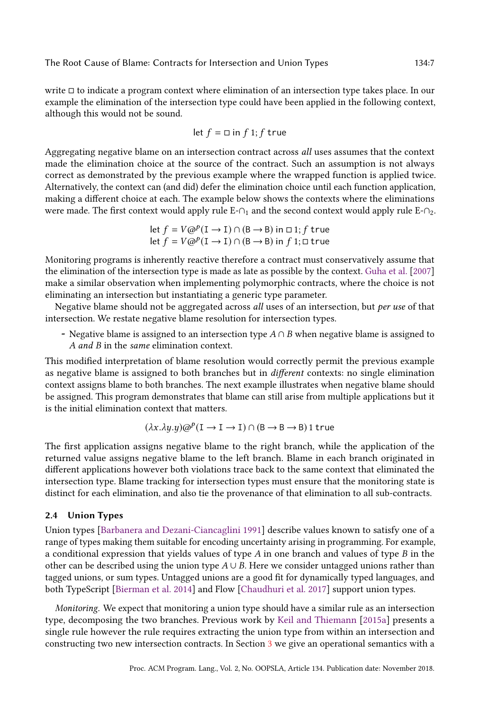write □ to indicate a program context where elimination of an intersection type takes place. In our example the elimination of the intersection type could have been applied in the following context, although this would not be sound.

$$
\text{let } f = \Box \text{ in } f \, 1; f \, \text{true}
$$

Aggregating negative blame on an intersection contract across all uses assumes that the context made the elimination choice at the source of the contract. Such an assumption is not always correct as demonstrated by the previous example where the wrapped function is applied twice. Alternatively, the context can (and did) defer the elimination choice until each function application, making a different choice at each. The example below shows the contexts where the eliminations were made. The first context would apply rule  $E-\cap_1$  and the second context would apply rule  $E-\cap_2$ .

let 
$$
f = V@^p(I \to I) \cap (B \to B)
$$
 in  $\Box$  1;  $f$  true  
let  $f = V@^p(I \to I) \cap (B \to B)$  in  $f$  1;  $\Box$  true

Monitoring programs is inherently reactive therefore a contract must conservatively assume that the elimination of the intersection type is made as late as possible by the context. [Guha et al.](#page-27-10) [\[2007\]](#page-27-10) make a similar observation when implementing polymorphic contracts, where the choice is not eliminating an intersection but instantiating a generic type parameter.

Negative blame should not be aggregated across all uses of an intersection, but *per use* of that intersection. We restate negative blame resolution for intersection types.

- Negative blame is assigned to an intersection type  $A \cap B$  when negative blame is assigned to A and B in the same elimination context.

This modified interpretation of blame resolution would correctly permit the previous example as negative blame is assigned to both branches but in different contexts: no single elimination context assigns blame to both branches. The next example illustrates when negative blame should be assigned. This program demonstrates that blame can still arise from multiple applications but it is the initial elimination context that matters.

$$
(\lambda x. \lambda y. y) \omega^{p} (I \to I \to I) \cap (B \to B \to B) 1 true
$$

The first application assigns negative blame to the right branch, while the application of the returned value assigns negative blame to the left branch. Blame in each branch originated in different applications however both violations trace back to the same context that eliminated the intersection type. Blame tracking for intersection types must ensure that the monitoring state is distinct for each elimination, and also tie the provenance of that elimination to all sub-contracts.

#### 2.4 Union Types

Union types [\[Barbanera and Dezani-Ciancaglini 1991\]](#page-27-11) describe values known to satisfy one of a range of types making them suitable for encoding uncertainty arising in programming. For example, a conditional expression that yields values of type  $A$  in one branch and values of type  $B$  in the other can be described using the union type  $A \cup B$ . Here we consider untagged unions rather than tagged unions, or sum types. Untagged unions are a good fit for dynamically typed languages, and both TypeScript [\[Bierman et al. 2014\]](#page-27-8) and Flow [\[Chaudhuri et al. 2017\]](#page-27-9) support union types.

Monitoring. We expect that monitoring a union type should have a similar rule as an intersection type, decomposing the two branches. Previous work by [Keil and Thiemann](#page-27-3) [\[2015a\]](#page-27-3) presents a single rule however the rule requires extracting the union type from within an intersection and constructing two new intersection contracts. In Section [3](#page-8-0) we give an operational semantics with a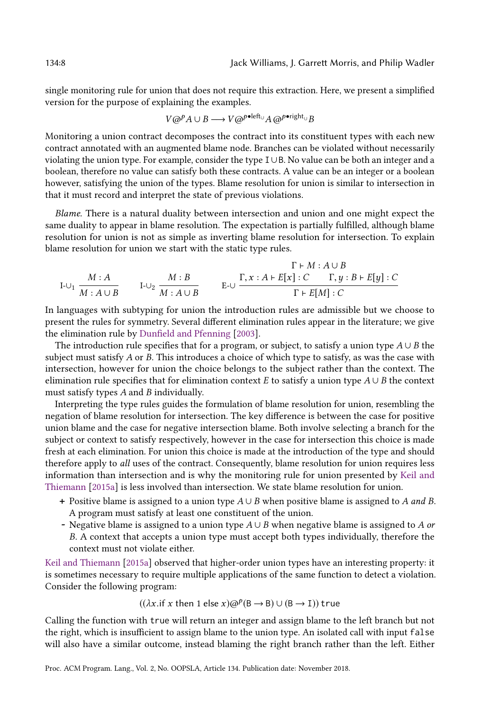single monitoring rule for union that does not require this extraction. Here, we present a simplified version for the purpose of explaining the examples.

$$
V@^pA\cup B\longrightarrow V@^{p\bullet\mathrm{left}_\cup}A@^{p\bullet\mathrm{right}_\cup}B
$$

Monitoring a union contract decomposes the contract into its constituent types with each new contract annotated with an augmented blame node. Branches can be violated without necessarily violating the union type. For example, consider the type I∪B. No value can be both an integer and a boolean, therefore no value can satisfy both these contracts. A value can be an integer or a boolean however, satisfying the union of the types. Blame resolution for union is similar to intersection in that it must record and interpret the state of previous violations.

Blame. There is a natural duality between intersection and union and one might expect the same duality to appear in blame resolution. The expectation is partially fulfilled, although blame resolution for union is not as simple as inverting blame resolution for intersection. To explain blame resolution for union we start with the static type rules.

$$
\Gamma \vdash M : A \cup B
$$
\n
$$
\Gamma \vdash M : A \cup B
$$
\n
$$
\Gamma \vdash M : A \cup B
$$
\n
$$
\Gamma \vdash M : B \cup B
$$
\n
$$
\Gamma \vdash E[x] : C \quad \Gamma, y : B \vdash E[y] : C
$$
\n
$$
\Gamma \vdash E[M] : C
$$

In languages with subtyping for union the introduction rules are admissible but we choose to present the rules for symmetry. Several different elimination rules appear in the literature; we give the elimination rule by [Dunfield and Pfenning](#page-27-12) [\[2003\]](#page-27-12).

The introduction rule specifies that for a program, or subject, to satisfy a union type  $A \cup B$  the subject must satisfy  $A$  or  $B$ . This introduces a choice of which type to satisfy, as was the case with intersection, however for union the choice belongs to the subject rather than the context. The elimination rule specifies that for elimination context E to satisfy a union type  $A \cup B$  the context must satisfy types A and B individually.

Interpreting the type rules guides the formulation of blame resolution for union, resembling the negation of blame resolution for intersection. The key difference is between the case for positive union blame and the case for negative intersection blame. Both involve selecting a branch for the subject or context to satisfy respectively, however in the case for intersection this choice is made fresh at each elimination. For union this choice is made at the introduction of the type and should therefore apply to all uses of the contract. Consequently, blame resolution for union requires less information than intersection and is why the monitoring rule for union presented by [Keil and](#page-27-3) [Thiemann](#page-27-3) [\[2015a\]](#page-27-3) is less involved than intersection. We state blame resolution for union.

- + Positive blame is assigned to a union type  $A \cup B$  when positive blame is assigned to A and B. A program must satisfy at least one constituent of the union.
- Negative blame is assigned to a union type  $A \cup B$  when negative blame is assigned to A or B. A context that accepts a union type must accept both types individually, therefore the context must not violate either.

[Keil and Thiemann](#page-27-3) [\[2015a\]](#page-27-3) observed that higher-order union types have an interesting property: it is sometimes necessary to require multiple applications of the same function to detect a violation. Consider the following program:

 $((\lambda x. \text{if } x \text{ then } 1 \text{ else } x) @P(B \rightarrow B) \cup (B \rightarrow I)) \text{ true}$ 

Calling the function with true will return an integer and assign blame to the left branch but not the right, which is insufficient to assign blame to the union type. An isolated call with input false will also have a similar outcome, instead blaming the right branch rather than the left. Either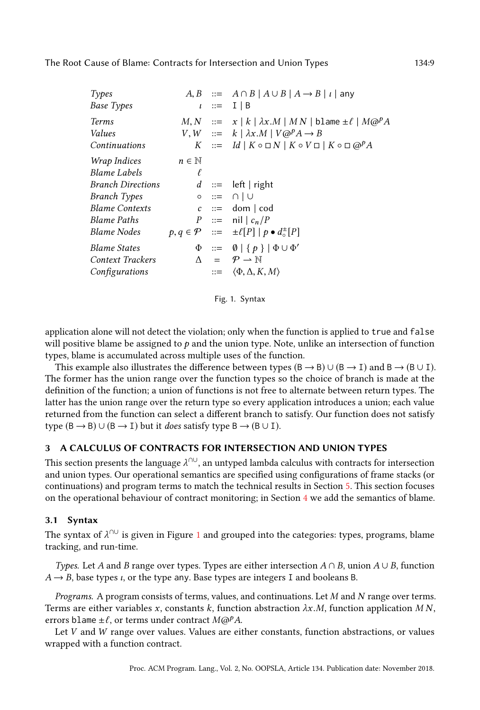<span id="page-8-1"></span>

| Types                   |                    | $A, B ::= A \cap B   A \cup B   A \rightarrow B   \iota$ any                 |
|-------------------------|--------------------|------------------------------------------------------------------------------|
| <b>Base Types</b>       |                    | $\iota ::= I   B$                                                            |
| <b>Terms</b>            |                    | $M, N ::= x   k   \lambda x.M   MN   b$ Lame $\pm \ell   M \varpi^p A$       |
| Values                  |                    | $V, W ::= k   \lambda x.M   V @P A \rightarrow B$                            |
| Continuations           |                    | $K \ ::= Id \mid K \circ \Box N \mid K \circ V \Box \mid K \circ \Box @^p A$ |
| Wrap Indices            | $n \in \mathbb{N}$ |                                                                              |
| Blame Labels            | ℓ                  |                                                                              |
| Branch Directions       |                    | $d ::=$ left   right                                                         |
| Branch Types            |                    | $\circ$ ::= $\cap$   $\cup$                                                  |
| <b>Blame Contexts</b>   |                    | $c ::= dom   cod$                                                            |
| Blame Paths             |                    | $P ::= \text{nil}   c_n / P$                                                 |
| Blame Nodes             |                    | $p, q \in \mathcal{P}$ ::= $\pm \ell[P]   p \bullet d_{\circ}^{\pm}[P]$      |
| Blame States            |                    | $\Phi \ ::= \ \emptyset \   \ \{\ p\ \} \   \ \Phi \cup \Phi'$               |
| <b>Context Trackers</b> |                    | $\Lambda = \mathcal{P} \rightarrow \mathbb{N}$                               |
| Configurations          |                    | $\mathrel{\mathop:}= \langle \Phi, \Delta, K, M \rangle$                     |
|                         |                    |                                                                              |

Fig. 1. Syntax

application alone will not detect the violation; only when the function is applied to true and false will positive blame be assigned to  $p$  and the union type. Note, unlike an intersection of function types, blame is accumulated across multiple uses of the function.

This example also illustrates the difference between types (B  $\rightarrow$  B) ∪ (B  $\rightarrow$  I) and B  $\rightarrow$  (B ∪ I). The former has the union range over the function types so the choice of branch is made at the definition of the function; a union of functions is not free to alternate between return types. The latter has the union range over the return type so every application introduces a union; each value returned from the function can select a different branch to satisfy. Our function does not satisfy type  $(B \to B) \cup (B \to I)$  but it does satisfy type  $B \to (B \cup I)$ .

# <span id="page-8-0"></span>3 A CALCULUS OF CONTRACTS FOR INTERSECTION AND UNION TYPES

This section presents the language  $\lambda^{\cap\cup}$ , an untyped lambda calculus with contracts for intersection and union types. Our operational semantics are specified using configurations of frame stacks (or continuations) and program terms to match the technical results in Section [5.](#page-17-0) This section focuses on the operational behaviour of contract monitoring; in Section [4](#page-11-0) we add the semantics of blame.

#### 3.1 Syntax

The syntax of  $\lambda^{\cap\cup}$  is given in Figure [1](#page-8-1) and grouped into the categories: types, programs, blame tracking, and run-time.

Types. Let A and B range over types. Types are either intersection  $A \cap B$ , union  $A \cup B$ , function  $A \rightarrow B$ , base types *i*, or the type any. Base types are integers I and booleans B.

Programs. A program consists of terms, values, and continuations. Let M and N range over terms. Terms are either variables x, constants k, function abstraction  $\lambda x.M$ , function application M N, errors blame  $\pm \ell$ , or terms under contract  $M\omega^p A$ .

Let V and W range over values. Values are either constants, function abstractions, or values wrapped with a function contract.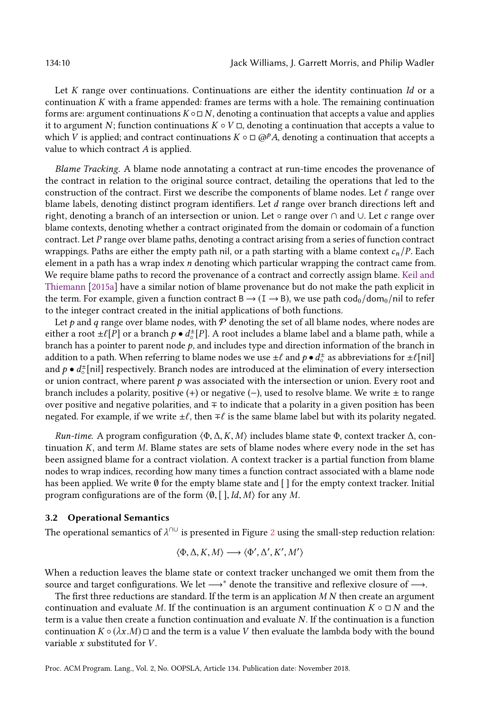Let  $K$  range over continuations. Continuations are either the identity continuation  $Id$  or a continuation  $K$  with a frame appended: frames are terms with a hole. The remaining continuation forms are: argument continuations  $K \circ \Box N$ , denoting a continuation that accepts a value and applies it to argument N; function continuations  $K \circ V \square$ , denoting a continuation that accepts a value to which V is applied; and contract continuations  $K \circ \Box$  @PA, denoting a continuation that accepts a value to which contract A is applied.

Blame Tracking. A blame node annotating a contract at run-time encodes the provenance of the contract in relation to the original source contract, detailing the operations that led to the construction of the contract. First we describe the components of blame nodes. Let  $\ell$  range over blame labels, denoting distinct program identifiers. Let d range over branch directions left and right, denoting a branch of an intersection or union. Let ◦ range over ∩ and ∪. Let c range over blame contexts, denoting whether a contract originated from the domain or codomain of a function contract. Let P range over blame paths, denoting a contract arising from a series of function contract wrappings. Paths are either the empty path nil, or a path starting with a blame context  $c_n/P$ . Each element in a path has a wrap index  $n$  denoting which particular wrapping the contract came from. We require blame paths to record the provenance of a contract and correctly assign blame. [Keil and](#page-27-3) [Thiemann](#page-27-3) [\[2015a\]](#page-27-3) have a similar notion of blame provenance but do not make the path explicit in the term. For example, given a function contract B  $\rightarrow$  (I  $\rightarrow$  B), we use path cod<sub>0</sub>/dom<sub>0</sub>/nil to refer to the integer contract created in the initial applications of both functions.

Let  $p$  and  $q$  range over blame nodes, with  $\mathcal P$  denoting the set of all blame nodes, where nodes are either a root  $\pm \ell[P]$  or a branch  $p \bullet d_{\circ}^{\pm}[P]$ . A root includes a blame label and a blame path, while a branch has a pointer to parent node  $p$ , and includes type and direction information of the branch in addition to a path. When referring to blame nodes we use  $\pm\ell$  and  $p\bullet d^{\pm}_\circ$  as abbreviations for  $\pm\ell$ [nil] and  $p \bullet d_{\circ}^{\pm}[\mathsf{nil}]$  respectively. Branch nodes are introduced at the elimination of every intersection or union contract, where parent  $p$  was associated with the intersection or union. Every root and branch includes a polarity, positive  $(+)$  or negative  $(-)$ , used to resolve blame. We write  $\pm$  to range over positive and negative polarities, and  $\mp$  to indicate that a polarity in a given position has been negated. For example, if we write  $\pm \ell$ , then  $\mp \ell$  is the same blame label but with its polarity negated.

Run-time. A program configuration  $\langle \Phi, \Delta, K, M \rangle$  includes blame state  $\Phi$ , context tracker  $\Delta$ , continuation  $K$ , and term  $M$ . Blame states are sets of blame nodes where every node in the set has been assigned blame for a contract violation. A context tracker is a partial function from blame nodes to wrap indices, recording how many times a function contract associated with a blame node has been applied. We write Ø for the empty blame state and [] for the empty context tracker. Initial program configurations are of the form  $\langle \emptyset, [ \cdot, Id, M \rangle$  for any M.

#### 3.2 Operational Semantics

The operational semantics of  $\lambda^{\cap\cup}$  is presented in Figure [2](#page-10-0) using the small-step reduction relation:

$$
\langle \Phi, \Delta, K, M \rangle \longrightarrow \langle \Phi', \Delta', K', M' \rangle
$$

When a reduction leaves the blame state or context tracker unchanged we omit them from the source and target configurations. We let  $\longrightarrow^*$  denote the transitive and reflexive closure of  $\longrightarrow$ .

The first three reductions are standard. If the term is an application  $MN$  then create an argument continuation and evaluate M. If the continuation is an argument continuation  $K \circ \Box N$  and the term is a value then create a function continuation and evaluate N. If the continuation is a function continuation  $K \circ (\lambda x.M) \square$  and the term is a value V then evaluate the lambda body with the bound variable  $x$  substituted for  $V$ .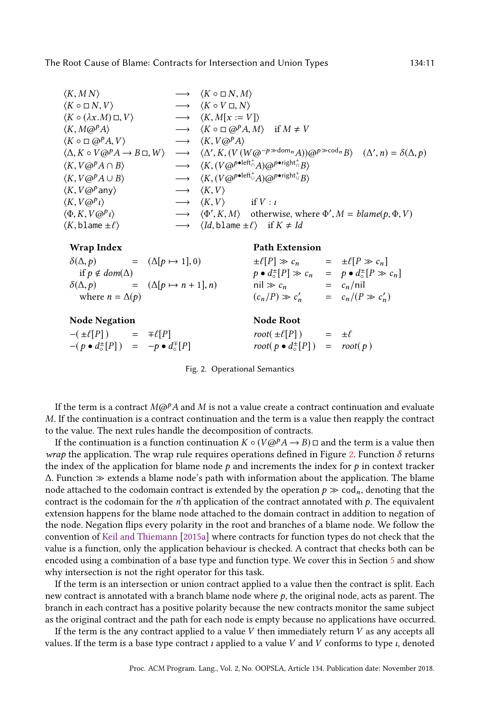<span id="page-10-0"></span> $\langle K, M N \rangle$   $\longrightarrow$   $\langle K \circ \Box N, M \rangle$  $\langle K \circ \Box N, V \rangle \longrightarrow \langle K \circ V \Box, N \rangle$  $\langle K \circ (\lambda x.M) \sqcup, V \rangle$   $\longrightarrow \langle K, M[x := V] \rangle$  $\langle K, M\varpi^p A \rangle \longrightarrow \langle K \circ \Box \varpi^p A, M \rangle \text{ if } M \neq V$  $\langle K \circ \Box \, \mathcal{Q}^p A, V \rangle \longrightarrow \langle K, V \mathcal{Q}^p A \rangle$  $\langle \Delta, K \circ V \mathcal{Q}^p A \to B \square, W \rangle \longrightarrow \langle \Delta', K, (V(W \mathcal{Q}^{-p \gg \text{dom}_n} A)) \mathcal{Q}^{p \gg \text{cod}_n} B \rangle \quad (\Delta', n) = \delta(\Delta, p)$  $\langle K, V \text{@}^p A \cap B \rangle \longrightarrow \langle K, (V \text{@}^{p \bullet \text{left}^+}_{\cap} A) \text{@}^{p \bullet \text{right}^+}_{\cap} B \rangle$  $\langle K, V \overline{\omega}^p A \cup B \rangle \longrightarrow \langle K, (V \overline{\omega}^{p \bullet \text{left}^+} A) \overline{\omega}^{p \bullet \text{right}^+} B \rangle$  $\langle K, V @^p \text{any} \rangle \longrightarrow \langle K, V \rangle$  $\langle K, V @P \iota \rangle$  $\longrightarrow \langle K, V \rangle$  if  $V : \iota$  $\langle \Phi, K, V \mathbb{Q}^p \iota \rangle$ *ι*)  $\longrightarrow$   $\langle \Phi', K, M \rangle$  otherwise, where  $\Phi', M = \text{blame}(p, \Phi, V)$  $\langle K, \text{blame } \pm \ell \rangle \longrightarrow \langle Id, \text{blame } \pm \ell \rangle \text{ if } K \neq Id$ 

#### Wrap Index

## Path Extension

Node Root

| $\delta(\Delta, p)$       | $=$ $(\Delta   p \mapsto 1  , 0)$ | $\pm \ell  P  \gg c_n$                 | $= \pm \ell   P \gg c_n  $                |
|---------------------------|-----------------------------------|----------------------------------------|-------------------------------------------|
| if $p \notin dom(\Delta)$ |                                   | $p \bullet d_{\circ}^{\pm}[P] \gg c_n$ | $= p \bullet d_{\circ}^{\pm} [P \gg c_n]$ |
| $\delta(\Delta, p)$       | $= (\Delta   p \mapsto n+1  , n)$ | $nil \gg c_n$                          | $= c_n/nil$                               |
| where $n = \Delta(p)$     |                                   | $(c_n/P) \gg c'_n$                     | $= c_n/(P \gg c'_n)$                      |
|                           |                                   |                                        |                                           |

# Node Negation

 $-(\pm \ell[P])$  =  $\mp \ell[P]$  $-(p \bullet d_{\circ}^{\pm}[P]) = -p \bullet d_{\circ}^{\mp}[P]$  $root(\pm \ell[P]) = \pm \ell$  $root(p \bullet d^{\pm}_{\circ}[P]) = root(p)$ 

Fig. 2. Operational Semantics

If the term is a contract  $M\omega^p A$  and M is not a value create a contract continuation and evaluate M. If the continuation is a contract continuation and the term is a value then reapply the contract to the value. The next rules handle the decomposition of contracts.

If the continuation is a function continuation  $K \circ (V \omega^p A \to B) \square$  and the term is a value then *wrap* the application. The wrap rule requires operations defined in Figure [2.](#page-10-0) Function  $\delta$  returns the index of the application for blame node  $p$  and increments the index for  $p$  in context tracker ∆. Function ≫ extends a blame node's path with information about the application. The blame node attached to the codomain contract is extended by the operation  $p \gg \text{cod}_n$ , denoting that the contract is the codomain for the *n*'th application of the contract annotated with  $p$ . The equivalent extension happens for the blame node attached to the domain contract in addition to negation of the node. Negation flips every polarity in the root and branches of a blame node. We follow the convention of [Keil and Thiemann](#page-27-3) [\[2015a\]](#page-27-3) where contracts for function types do not check that the value is a function, only the application behaviour is checked. A contract that checks both can be encoded using a combination of a base type and function type. We cover this in Section [5](#page-17-0) and show why intersection is not the right operator for this task.

If the term is an intersection or union contract applied to a value then the contract is split. Each new contract is annotated with a branch blame node where  $p$ , the original node, acts as parent. The branch in each contract has a positive polarity because the new contracts monitor the same subject as the original contract and the path for each node is empty because no applications have occurred.

If the term is the any contract applied to a value  $V$  then immediately return  $V$  as any accepts all values. If the term is a base type contract  $\iota$  applied to a value V and V conforms to type  $\iota$ , denoted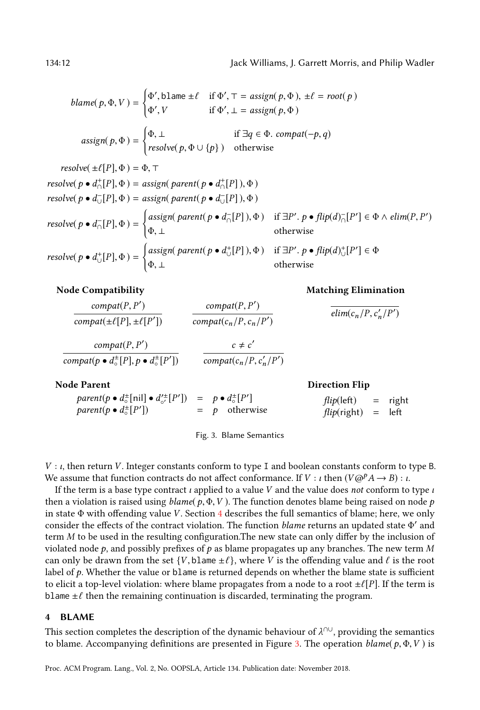<span id="page-11-1"></span>
$$
blame(p, \Phi, V) = \begin{cases} \Phi', \text{blame} \pm \ell & \text{if } \Phi', \top = \text{assign}(p, \Phi), \pm \ell = \text{root}(p) \\ \Phi', V & \text{if } \Phi', \bot = \text{assign}(p, \Phi) \end{cases}
$$
  
\n
$$
assign(p, \Phi) = \begin{cases} \Phi, \bot & \text{if } \exists q \in \Phi. \text{ compact}(-p, q) \\ \text{resolve}(p, \Phi \cup \{p\}) & \text{otherwise} \end{cases}
$$
  
\n
$$
resolve(\pm \ell[P], \Phi) = \Phi, \top
$$
  
\n
$$
resolve(p \bullet d_{\cap}^+[P], \Phi) = \text{assign}(\text{parent}(p \bullet d_{\cap}^+[P]), \Phi)
$$
  
\n
$$
resolve(p \bullet d_{\cap}^-[P], \Phi) = \begin{cases} \text{assign}(\text{parent}(p \bullet d_{\cap}^-[P]), \Phi) & \text{if } \exists P'. p \bullet \text{flip}(d)_{\cap}^-[P'] \in \Phi \land \text{elim}(P, P') \\ \Phi, \bot & \text{otherwise} \end{cases}
$$
  
\n
$$
resolve(p \bullet d_{\cap}^+[P], \Phi) = \begin{cases} \text{assign}(\text{parent}(p \bullet d_{\cap}^+[P]), \Phi) & \text{if } \exists P'. p \bullet \text{flip}(d)_{\cap}^+[P'] \in \Phi \\ \Phi, \bot & \text{otherwise} \end{cases}
$$

# Node Compatibility

#### Matching Elimination

 $flip$ (right) = left

| compact(P, P')                               | compact(P, P')                             | compact(c_n/P, c_n/P') | elim(c_n/P, c'_n/P')                     |                                          |                     |                                              |                     |                   |
|----------------------------------------------|--------------------------------------------|------------------------|------------------------------------------|------------------------------------------|---------------------|----------------------------------------------|---------------------|-------------------|
| compact(p \cdot d^+_c[P], p \cdot d^+_c[P']) | $c \neq c'$                                |                        |                                          |                                          |                     |                                              |                     |                   |
| Node Parent                                  | parent(p \cdot d^+_c[n]] \cdot d'^+_c[P']) | = p \cdot d^+_c[P']    | Direction flip parent(p \cdot d^+_c[P']) | Direction flip parent(p \cdot d^+_c[P']) | = p \cdot d^+_c[P'] | flip(left) = right parent(p \cdot d^+_c[P']) | = p \cdot d^+_c[P'] | flip(left) = left |

 $= p$  otherwise

Fig. 3. Blame Semantics

 $V : \iota$ , then return V. Integer constants conform to type I and boolean constants conform to type B. We assume that function contracts do not affect conformance. If  $V : \iota$  then  $(V @^p A \rightarrow B) : \iota$ .

If the term is a base type contract  $\iota$  applied to a value V and the value does not conform to type  $\iota$ then a violation is raised using *blame(p,*  $\Phi$ *, V)*. The function denotes blame being raised on node p in state  $\Phi$  with offending value V. Section [4](#page-11-0) describes the full semantics of blame; here, we only consider the effects of the contract violation. The function blame returns an updated state Φ' and term M to be used in the resulting configuration.The new state can only differ by the inclusion of violated node  $p$ , and possibly prefixes of  $p$  as blame propagates up any branches. The new term M can only be drawn from the set  $\{V, b \}$ lame  $\pm \ell\}$ , where V is the offending value and  $\ell$  is the root label of  $p$ . Whether the value or blame is returned depends on whether the blame state is sufficient to elicit a top-level violation: where blame propagates from a node to a root  $\pm \ell[P]$ . If the term is blame  $\pm \ell$  then the remaining continuation is discarded, terminating the program.

# <span id="page-11-0"></span>4 BLAME

This section completes the description of the dynamic behaviour of  $\lambda^{\cap\cup}$ , providing the semantics to blame. Accompanying definitions are presented in Figure [3.](#page-11-1) The operation  $blame(p, \Phi, V)$  is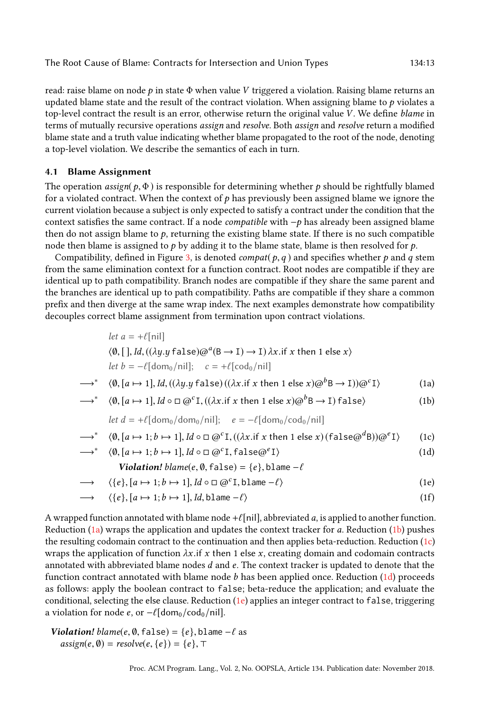read: raise blame on node  $p$  in state  $\Phi$  when value V triggered a violation. Raising blame returns an updated blame state and the result of the contract violation. When assigning blame to  $p$  violates a top-level contract the result is an error, otherwise return the original value V. We define blame in terms of mutually recursive operations assign and resolve. Both assign and resolve return a modified blame state and a truth value indicating whether blame propagated to the root of the node, denoting a top-level violation. We describe the semantics of each in turn.

# 4.1 Blame Assignment

The operation *assign*( $p$ ,  $\Phi$ ) is responsible for determining whether p should be rightfully blamed for a violated contract. When the context of  $p$  has previously been assigned blame we ignore the current violation because a subject is only expected to satisfy a contract under the condition that the context satisfies the same contract. If a node *compatible* with  $-p$  has already been assigned blame then do not assign blame to  $p$ , returning the existing blame state. If there is no such compatible node then blame is assigned to  $p$  by adding it to the blame state, blame is then resolved for  $p$ .

Compatibility, defined in Figure [3,](#page-11-1) is denoted *compat(p,q)* and specifies whether p and q stem from the same elimination context for a function contract. Root nodes are compatible if they are identical up to path compatibility. Branch nodes are compatible if they share the same parent and the branches are identical up to path compatibility. Paths are compatible if they share a common prefix and then diverge at the same wrap index. The next examples demonstrate how compatibility decouples correct blame assignment from termination upon contract violations.

<span id="page-12-5"></span><span id="page-12-4"></span><span id="page-12-3"></span><span id="page-12-2"></span><span id="page-12-1"></span><span id="page-12-0"></span>let 
$$
a = +\ell
$$
[nil]  
\n $\langle \emptyset, [], Id, ((\lambda y. y false) @^a (\mathsf{B} \rightarrow \mathsf{I}) \rightarrow \mathsf{I}) \lambda x. \text{if } x \text{ then } 1 \text{ else } x \rangle$   
\nlet  $b = -\ell$ [dom<sub>0</sub>/nil];  $c = +\ell$ [cod<sub>0</sub>/nil]  
\n $\rightarrow^*$   $\langle \emptyset, [a \mapsto 1], Id, ((\lambda y. y false) ((\lambda x. \text{if } x \text{ then } 1 \text{ else } x) @^b \mathsf{B} \rightarrow \mathsf{I}) ) @^c \mathsf{I} \rangle$  (1a)  
\n $\rightarrow^*$   $\langle \emptyset, [a \mapsto 1], Id \circ \Box @^c \mathsf{I}, ((\lambda x. \text{if } x \text{ then } 1 \text{ else } x) @^b \mathsf{B} \rightarrow \mathsf{I}) \text{ false} \rangle$  (1b)  
\nlet  $d = +\ell$ [dom<sub>0</sub>/dom<sub>0</sub>/nil];  $e = -\ell$ [dom<sub>0</sub>/cod<sub>0</sub>/nil]  
\n $\rightarrow^*$   $\langle \emptyset, [a \mapsto 1; b \mapsto 1], Id \circ \Box @^c \mathsf{I}, ((\lambda x. \text{if } x \text{ then } 1 \text{ else } x) (\text{false} @^d \mathsf{B}) ) @^e \mathsf{I} \rangle$  (1c)  
\n $\rightarrow^*$   $\langle \emptyset, [a \mapsto 1; b \mapsto 1], Id \circ \Box @^c \mathsf{I}, (\text{false} @^e \mathsf{I})$   
\n $\langle \emptyset, [a \mapsto 1; b \mapsto 1], Id \circ \Box @^c \mathsf{I}, \text{false} @^e \mathsf{I} \rangle$   
\n $\rightarrow$   $\langle \{e\}, [a \mapsto 1; b \mapsto 1], Id, \text{blame} - \ell \rangle$  (1e)  
\n $\rightarrow$   $\langle \{e\}, [a \mapsto 1; b \mapsto 1], Id, \text{blame} - \ell \rangle$ 

A wrapped function annotated with blame node  $+ \ell$ [nil], abbreviated a, is applied to another function. Reduction  $(1a)$  wraps the application and updates the context tracker for a. Reduction  $(1b)$  pushes the resulting codomain contract to the continuation and then applies beta-reduction. Reduction [\(1c\)](#page-12-2) wraps the application of function  $\lambda x$ . if x then 1 else x, creating domain and codomain contracts annotated with abbreviated blame nodes d and e. The context tracker is updated to denote that the function contract annotated with blame node  $b$  has been applied once. Reduction  $(1d)$  proceeds as follows: apply the boolean contract to false; beta-reduce the application; and evaluate the conditional, selecting the else clause. Reduction [\(1e\)](#page-12-4) applies an integer contract to false, triggering a violation for node e, or  $-\ell$ [dom<sub>0</sub>/cod<sub>0</sub>/nil].

```
Violation! blame(e, Ø, false) = \{e\}, blame -\ell as
   assign(e, \emptyset) = resolve(e, \{e\}) = \{e\}, \top
```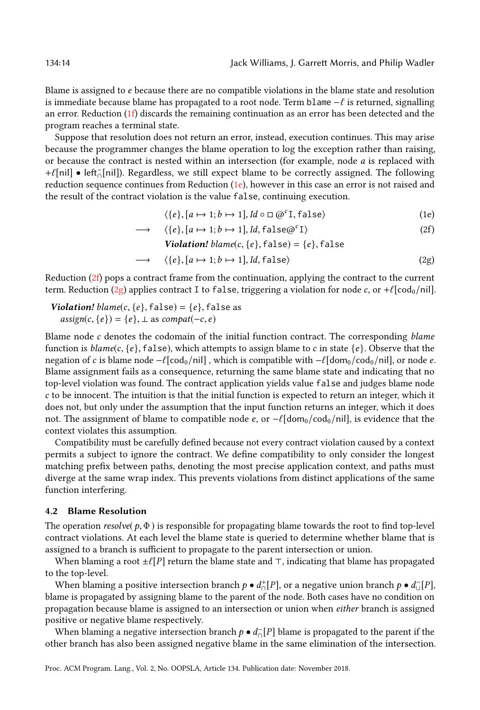Blame is assigned to e because there are no compatible violations in the blame state and resolution is immediate because blame has propagated to a root node. Term blame  $-\ell$  is returned, signalling an error. Reduction  $(1f)$  discards the remaining continuation as an error has been detected and the program reaches a terminal state.

Suppose that resolution does not return an error, instead, execution continues. This may arise because the programmer changes the blame operation to log the exception rather than raising, or because the contract is nested within an intersection (for example, node  $a$  is replaced with + l[nil] • left<sub>∩</sub>[nil]). Regardless, we still expect blame to be correctly assigned. The following reduction sequence continues from Reduction [\(1e\)](#page-12-4), however in this case an error is not raised and the result of the contract violation is the value false, continuing execution.

$$
\langle \{e\}, [a \mapsto 1; b \mapsto 1], Id \circ \Box \, \textcircled{a}^c \, \text{I}, \text{false} \rangle \tag{1e}
$$

$$
\longrightarrow \langle \{e\}, [a \mapsto 1; b \mapsto 1], Id, \text{false} @ ^{c} \text{I} \rangle \tag{2f}
$$

<span id="page-13-1"></span><span id="page-13-0"></span>Violation!  $blame(c, \{e\}, false) = \{e\}, false$ 

$$
\longrightarrow \langle \{e\}, [a \mapsto 1; b \mapsto 1], Id, \text{false} \rangle \tag{2g}
$$

Reduction  $(2f)$  pops a contract frame from the continuation, applying the contract to the current term. Reduction [\(2g\)](#page-13-1) applies contract I to false, triggering a violation for node c, or  $+\ell[\text{cod}_0/\text{nil}]$ .

Violation!  $blame(c, \{e\}, \text{false}) = \{e\}, \text{false}$  as  $assign(c, \{e\}) = \{e\}, \perp$  as  $compat(-c, e)$ 

Blame node  $c$  denotes the codomain of the initial function contract. The corresponding blame function is  $blame(c, \{e\}, false)$ , which attempts to assign blame to c in state  $\{e\}$ . Observe that the negation of c is blame node  $-\ell[\text{cod}_0/\text{nil}]$ , which is compatible with  $-\ell[\text{dom}_0/\text{cod}_0/\text{nil}]$ , or node e. Blame assignment fails as a consequence, returning the same blame state and indicating that no top-level violation was found. The contract application yields value false and judges blame node c to be innocent. The intuition is that the initial function is expected to return an integer, which it does not, but only under the assumption that the input function returns an integer, which it does not. The assignment of blame to compatible node e, or  $-\ell$ [dom<sub>0</sub>/cod<sub>0</sub>/nil], is evidence that the context violates this assumption.

Compatibility must be carefully defined because not every contract violation caused by a context permits a subject to ignore the contract. We define compatibility to only consider the longest matching prefix between paths, denoting the most precise application context, and paths must diverge at the same wrap index. This prevents violations from distinct applications of the same function interfering.

#### 4.2 Blame Resolution

The operation resolve( $p$ ,  $\Phi$ ) is responsible for propagating blame towards the root to find top-level contract violations. At each level the blame state is queried to determine whether blame that is assigned to a branch is sufficient to propagate to the parent intersection or union.

When blaming a root  $\pm \ell [P]$  return the blame state and ⊤, indicating that blame has propagated to the top-level.

When blaming a positive intersection branch  $p \bullet d \cap [P]$ , or a negative union branch  $p \bullet d \cup [P]$ , blame is propagated by assigning blame to the parent of the node. Both cases have no condition on propagation because blame is assigned to an intersection or union when either branch is assigned positive or negative blame respectively.

When blaming a negative intersection branch  $p \bullet d_{\cap}^{-}[P]$  blame is propagated to the parent if the other branch has also been assigned negative blame in the same elimination of the intersection.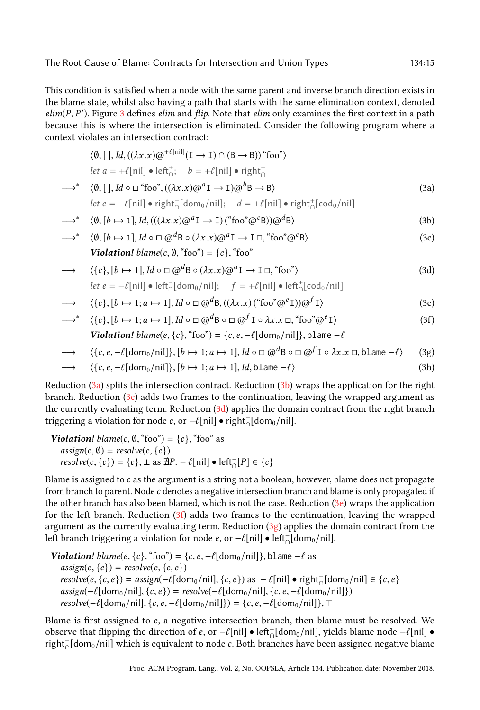This condition is satisfied when a node with the same parent and inverse branch direction exists in the blame state, whilst also having a path that starts with the same elimination context, denoted  $elim(P, P')$ . Figure [3](#page-11-1) defines elim and flip. Note that elim only examines the first context in a path because this is where the intersection is eliminated. Consider the following program where a context violates an intersection contract:

<span id="page-14-2"></span><span id="page-14-1"></span><span id="page-14-0"></span>
$$
\langle 0, [], Id, ((\lambda x.x)\omega^{+\ell[ni]}(I \rightarrow I) \cap (B \rightarrow B)) \text{``foo''}\rangle
$$
  
\nlet  $a = +\ell[ni]$  • left<sub>0</sub><sup>+</sup>;  $b = +\ell[ni]$  • right<sub>0</sub><sup>+</sup>  
\n $\rightarrow$  \*  $\langle 0, [], Id \circ \Box \text{``foo''}, ((\lambda x.x)\omega^a I \rightarrow I)\omega^b B \rightarrow B\rangle$   
\nlet  $c = -\ell[ni]$  • right<sub>0</sub><sup>-1</sup> [dom<sub>0</sub>/nil];  $d = +\ell[ni]$  • right<sub>0</sub><sup>+</sup> [cod<sub>0</sub>/nil]  
\n $\rightarrow$  \*  $\langle 0, [b \mapsto 1], Id, (((\lambda x.x)\omega^a I \rightarrow I) \text{``foo''}\omega^c B)\omega^d B\rangle$  (3b)  
\n $\rightarrow$  \*  $\langle 0, [b \mapsto 1], Id \circ \Box \omega^d B \circ (\lambda x.x)\omega^a I \rightarrow I \Box, \text{``foo''}\omega^c B\rangle$  (3c)  
\n**violation!**  $blame(c, 0, \text{``foo''}) = \{c\}, \text{``foo''}$   
\n $\rightarrow$   $\langle \{c\}, [b \mapsto 1], Id \circ \Box \omega^d B \circ (\lambda x.x)\omega^a I \rightarrow I \Box, \text{``foo''}\rangle$  (3d)  
\nlet  $e = -\ell[ni]$  • left<sub>0</sub><sup>-1</sup> [dom<sub>0</sub>/nil];  $f = +\ell[ni]$  • left<sub>0</sub><sup>+</sup> [cod<sub>0</sub>/nil]  
\n $\rightarrow$   $\langle \{c\}, [b \mapsto 1; a \mapsto 1], Id \circ \Box \omega^d B, ((\lambda x.x) \text{``foo''}\omega^e I)\omega^f I \rangle$  (3e)  
\n $\rightarrow$  \*  $\langle \{c\}, [b \mapsto 1; a \mapsto 1], Id \circ \Box \omega^d B \circ \Box \omega^f I \circ \lambda x.x \Box, \text{``foo''}\omega^e I \rangle$  (3f)  
\n**violation!**  $blame(e, \{c\}, \text{``foo''}) = \$ 

<span id="page-14-6"></span><span id="page-14-5"></span><span id="page-14-4"></span><span id="page-14-3"></span>
$$
\longrightarrow \langle \{c, e, -\ell[\text{dom}_0/\text{nil}]\}, [b \mapsto 1; a \mapsto 1], Id \circ \Box \oslash^d B \circ \Box \oslash^f I \circ \lambda x. x \Box, \text{blame } -\ell \rangle \qquad (3g)
$$

<span id="page-14-7"></span>
$$
\longrightarrow \langle \{c, e, -\ell[\text{dom}_0/\text{nil}]\}, [b \mapsto 1; a \mapsto 1], Id, \text{blame } -\ell \rangle \tag{3h}
$$

Reduction [\(3a\)](#page-14-0) splits the intersection contract. Reduction [\(3b\)](#page-14-1) wraps the application for the right branch. Reduction [\(3c\)](#page-14-2) adds two frames to the continuation, leaving the wrapped argument as the currently evaluating term. Reduction [\(3d\)](#page-14-3) applies the domain contract from the right branch triggering a violation for node c, or  $-\ell$ [nil] • right $\bar{\text{h}}$ [dom<sub>0</sub>/nil].

**violation!** 
$$
blame(c, \emptyset, "foo") = \{c\}, "foo" as
$$
  
 $assign(c, \emptyset) = resolve(c, \{c\})$   
 $resolve(c, \{c\}) = \{c\}, \perp \text{ as } \nexists P. - \ell[ni] \bullet \text{left}_0[P] \in \{c\}$ 

Blame is assigned to c as the argument is a string not a boolean, however, blame does not propagate from branch to parent. Node c denotes a negative intersection branch and blame is only propagated if the other branch has also been blamed, which is not the case. Reduction  $(3e)$  wraps the application for the left branch. Reduction [\(3f\)](#page-14-5) adds two frames to the continuation, leaving the wrapped argument as the currently evaluating term. Reduction  $(3g)$  applies the domain contract from the left branch triggering a violation for node  $e$ , or  $-\ell$ [nil] • left $\bar{\mathsf{h}}$ [dom $_0/\mathsf{nil}$ ].

Violation! blame(e, {c}, "foo") = {c, e, - $\ell$ [dom<sub>0</sub>/nil]}, blame - $\ell$  as  $assign(e, \{c\}) = resolve(e, \{c, e\})$  $resolve(e, \{c, e\}) = assign(-\ell[dom_0/nil], \{c, e\})$  as  $-\ell[nil] \bullet right_{\cap}[dom_0/nil] \in \{c, e\}$  $assign(-\ell [dom_0/nil], \{c, e\}) = resolve(-\ell [dom_0/nil], \{c, e, -\ell [dom_0/nil]\})$  $resolve(-\ell[{\rm dom}_0/{\rm nil}], \{c, e, -\ell[{\rm dom}_0/{\rm nil}]\}) = \{c, e, -\ell[{\rm dom}_0/{\rm nil}]\}, \top$ 

Blame is first assigned to e, a negative intersection branch, then blame must be resolved. We observe that flipping the direction of  $e$ , or  $-\ell$ [nil] • left<sub>∩</sub>[dom<sub>0</sub>/nil], yields blame node  $-\ell$ [nil] • right $^{−}_{−}$ [dom $^{0}/$ nil] which is equivalent to node  $c$ . Both branches have been assigned negative blame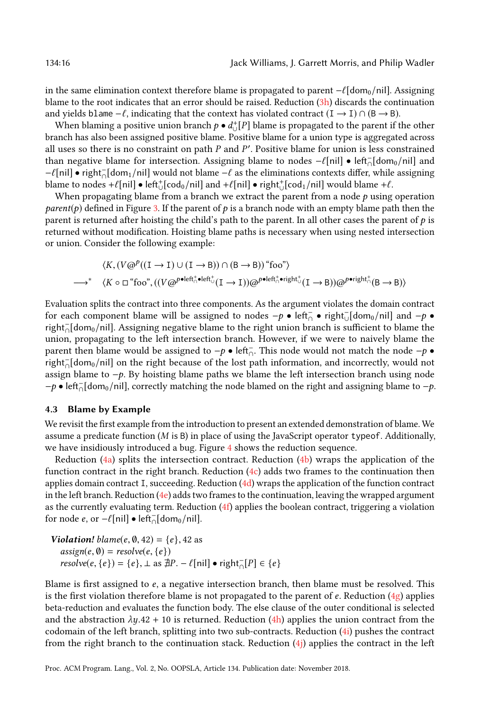in the same elimination context therefore blame is propagated to parent  $-\ell$ [dom<sub>0</sub>/nil]. Assigning blame to the root indicates that an error should be raised. Reduction [\(3h\)](#page-14-7) discards the continuation and yields blame  $-\ell$ , indicating that the context has violated contract  $(I \rightarrow I) \cap (B \rightarrow B)$ .

When blaming a positive union branch  $p \bullet d_{\cup}^{+}[P]$  blame is propagated to the parent if the other branch has also been assigned positive blame. Positive blame for a union type is aggregated across all uses so there is no constraint on path  $P$  and  $P'$ . Positive blame for union is less constrained than negative blame for intersection. Assigning blame to nodes  $-\ell$ [nil] • left<sub>∩</sub>[dom $_0/$ nil] and  $-\ell$ [nil] • right $^-_\cap$ [dom $_1$ /nil] would not blame  $-\ell$  as the eliminations contexts differ, while assigning blame to nodes  $+\ell$ [nil] • left<sup>+</sup><sub>U</sub>[cod<sub>0</sub>/nil] and  $+\ell$ [nil] • right<sup>+</sup><sub>U</sub>[cod<sub>1</sub>/nil] would blame  $+\ell$ .

When propagating blame from a branch we extract the parent from a node  $p$  using operation parent(p) defined in Figure [3.](#page-11-1) If the parent of p is a branch node with an empty blame path then the parent is returned after hoisting the child's path to the parent. In all other cases the parent of  $p$  is returned without modification. Hoisting blame paths is necessary when using nested intersection or union. Consider the following example:

$$
\langle K, (V \mathcal{Q}^p((I \to I) \cup (I \to B)) \cap (B \to B)) \text{``foo''}\rangle
$$
  

$$
\longrightarrow^* \langle K \circ \Box \text{``foo''}, ((V \mathcal{Q}^{p \bullet left^+_{\circ} \bullet left^+_{\circ}(I \to I))\mathcal{Q}^{p \bullet left^+_{\circ} \bullet right^+_{\circ}(I \to B))\mathcal{Q}^{p \bullet right^+_{\circ}(B \to B)\rangle}
$$

Evaluation splits the contract into three components. As the argument violates the domain contract for each component blame will be assigned to nodes  $-p \bullet \text{left}_0^- \bullet \text{right}_\cup [\text{dom}_0/\text{nil}]$  and  $-p \bullet$ right<sup>−</sup> ∩ [dom0/nil]. Assigning negative blame to the right union branch is sufficient to blame the union, propagating to the left intersection branch. However, if we were to naively blame the parent then blame would be assigned to  $-p \bullet$  left $^-_0$ . This node would not match the node  $-p \bullet$ right<sup>−</sup> ∩ [dom0/nil] on the right because of the lost path information, and incorrectly, would not assign blame to  $-p$ . By hoisting blame paths we blame the left intersection branch using node  $-p \cdot \text{left}$  [dom<sub>0</sub>/nil], correctly matching the node blamed on the right and assigning blame to  $-p$ .

## 4.3 Blame by Example

We revisit the first example from the introduction to present an extended demonstration of blame. We assume a predicate function (M is B) in place of using the JavaScript operator typeof. Additionally, we have insidiously introduced a bug. Figure [4](#page-16-0) shows the reduction sequence.

Reduction [\(4a\)](#page-16-1) splits the intersection contract. Reduction [\(4b\)](#page-16-2) wraps the application of the function contract in the right branch. Reduction  $(4c)$  adds two frames to the continuation then applies domain contract I, succeeding. Reduction [\(4d\)](#page-16-4) wraps the application of the function contract in the left branch. Reduction  $(4e)$  adds two frames to the continuation, leaving the wrapped argument as the currently evaluating term. Reduction [\(4f\)](#page-16-6) applies the boolean contract, triggering a violation for node  $e$ , or  $-\ell$ [nil] • left $\bar{f}_{\cap}$ [dom $_0$ /nil].

Violation! blame(e,  $\emptyset$ , 42) = {e}, 42 as  $assign(e, \emptyset) = resolve(e, \{e\})$  $resolve(e, \{e\}) = \{e\}, \perp \text{ as } \nexists P. - \ell[\text{nil}] \bullet \text{ right}^{-}_{\cap}[P] \in \{e\}$ 

Blame is first assigned to e, a negative intersection branch, then blame must be resolved. This is the first violation therefore blame is not propagated to the parent of  $e$ . Reduction ( $4g$ ) applies beta-reduction and evaluates the function body. The else clause of the outer conditional is selected and the abstraction  $\lambda y.42 + 10$  is returned. Reduction [\(4h\)](#page-16-8) applies the union contract from the codomain of the left branch, splitting into two sub-contracts. Reduction [\(4i\)](#page-16-9) pushes the contract from the right branch to the continuation stack. Reduction  $(4)$  applies the contract in the left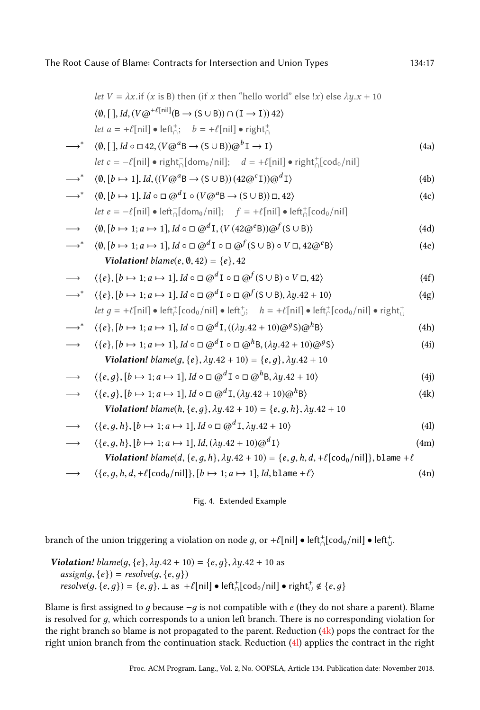<span id="page-16-0"></span>let 
$$
V = \lambda x
$$
.if  $(x \text{ is } B)$  then (if  $x$  then "hello world" else ! $x$ ) else  $\lambda y.x + 10$   
\n $\langle 0, []$ ,  $Id$ ,  $(V@-t[mi] (B \rightarrow (S \cup B)) \cap (I \rightarrow I)) 42\rangle$   
\nlet  $a = +\ell$ [ni]  $\bullet$  left<sup>+</sup><sub>1</sub>;  $b = +\ell$ [ni]  $\bullet$  right<sup>+</sup><sub>1</sub>  
\n $\rightarrow^*$   $\langle 0, []$ ,  $Id \circ \Box 42$ ,  $(V@-8B \rightarrow (S \cup B))@bI \rightarrow I$  (4a)  
\nlet  $c = -\ell$ [ni]  $\bullet$  right<sup>-1</sup><sub>0</sub>[dom<sub>0</sub>/nil];  $d = +\ell$ [ni]  $\bullet$  right<sup>+</sup><sub>1</sub>[cod<sub>0</sub>/nil]  
\n $\rightarrow^*$   $\langle 0, [b \rightarrow 1], Id \circ \Box @dI \circ (V@aB \rightarrow (S \cup B)) \Box, 42\rangle$  (4c)  
\nlet  $e = -\ell$ [ni]  $\bullet$  left<sup>-1</sup><sub>0</sub>[dom<sub>0</sub>/nil];  $f = +\ell$ [ni]  $\bullet$  left<sup>+</sup><sub>1</sub>[cod<sub>0</sub>/nil]  
\n $\rightarrow^*$   $\langle 0, [b \rightarrow 1; a \rightarrow 1], Id \circ \Box @dI \circ \Box @dI$ [S \cup B)  $\rangle$  (4d)  
\n $\rightarrow^*$   $\langle 0, [b \rightarrow 1; a \rightarrow 1], Id \circ \Box @dI \circ \Box @f(S \cup B) \circ V \Box, 42@eB$  (4e)  
\n**violation!**  $blame(e, 0, 42) = \{e\}, 42$   
\n $\rightarrow^*$   $\langle \{e\}, [b \rightarrow 1; a \rightarrow 1], Id \circ \Box @<sup>d</sup>I \circ \Box @<sup>f</sup>(S \cup B)$ 

#### <span id="page-16-14"></span><span id="page-16-13"></span><span id="page-16-12"></span><span id="page-16-11"></span><span id="page-16-10"></span>Fig. 4. Extended Example

branch of the union triggering a violation on node  $g$ , or + $\ell$ [nil]  $\bullet$  left $_\cap^+$ [cod $_0/$ nil]  $\bullet$  left $_\cup^+$ .

**violation!** 
$$
blame(g, \{e\}, \lambda y.42 + 10) = \{e, g\}, \lambda y.42 + 10
$$
 as  
\n $assign(g, \{e\}) = resolve(g, \{e, g\})$   
\n $resolve(g, \{e, g\}) = \{e, g\}, \bot$  as  $+ \ell$ [nil]  $\bullet$  left<sub>∩</sub>[cod<sub>0</sub>/nil]  $\bullet$  right<sub>∪</sub> $\notin$  {e, g}

Blame is first assigned to g because  $-g$  is not compatible with e (they do not share a parent). Blame is resolved for д, which corresponds to a union left branch. There is no corresponding violation for the right branch so blame is not propagated to the parent. Reduction [\(4k\)](#page-16-11) pops the contract for the right union branch from the continuation stack. Reduction [\(4l\)](#page-16-12) applies the contract in the right

<span id="page-16-9"></span><span id="page-16-8"></span><span id="page-16-7"></span><span id="page-16-6"></span><span id="page-16-5"></span><span id="page-16-4"></span><span id="page-16-3"></span><span id="page-16-2"></span><span id="page-16-1"></span>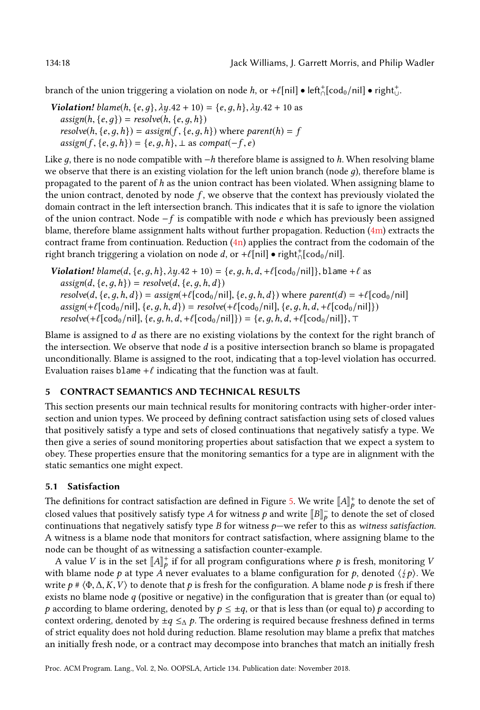branch of the union triggering a violation on node  $h$ , or + $\ell$ [nil]  $\bullet$  left $_\cap^+$ [cod $_0/$ nil]  $\bullet$  right $_\cup^+$ .

**Violation!** blame(h, {e, g},  $\lambda y.42 + 10$ ) = {e, g, h},  $\lambda y.42 + 10$  as  $assign(h, \{e, g\}) = resolve(h, \{e, g, h\})$  $resolve(h, \{e, g, h\}) = assign(f, \{e, g, h\})$  where parent(h) = f  $assign(f, \{e, g, h\}) = \{e, g, h\}, \perp$  as  $compat(-f, e)$ 

Like  $q$ , there is no node compatible with  $-h$  therefore blame is assigned to  $h$ . When resolving blame we observe that there is an existing violation for the left union branch (node  $q$ ), therefore blame is propagated to the parent of h as the union contract has been violated. When assigning blame to the union contract, denoted by node  $f$ , we observe that the context has previously violated the domain contract in the left intersection branch. This indicates that it is safe to ignore the violation of the union contract. Node  $-f$  is compatible with node e which has previously been assigned blame, therefore blame assignment halts without further propagation. Reduction [\(4m\)](#page-16-13) extracts the contract frame from continuation. Reduction  $(4n)$  applies the contract from the codomain of the right branch triggering a violation on node d, or  $+ \ell$ [nil] • right $\uparrow$ [cod<sub>0</sub>/nil].

Violation! blame(d, {e, g, h},  $\lambda y.42 + 10$ ) = {e, g, h, d, +  $\ell$ [cod<sub>0</sub>/nil]}, blame +  $\ell$  as  $assign(d, \{e, q, h\}) = resolve(d, \{e, q, h, d\})$ resolve(d, {e, q, h, d}) =  $assign(+\ell[\text{cod}_0/\text{nil}], \{e, q, h, d\})$  where parent(d) =  $+\ell[\text{cod}_0/\text{nil}]$  $assign(+\ell[\text{cod}_0/\text{nil}], \{e, q, h, d\}) = resolve(+\ell[\text{cod}_0/\text{nil}], \{e, q, h, d, +\ell[\text{cod}_0/\text{nil}]\})$ resolve(+ $\ell$ [cod<sub>0</sub>/nil], {e, g, h, d, + $\ell$ [cod<sub>0</sub>/nil]}) = {e, g, h, d, + $\ell$ [cod<sub>0</sub>/nil]},  $\top$ 

Blame is assigned to d as there are no existing violations by the context for the right branch of the intersection. We observe that node  $d$  is a positive intersection branch so blame is propagated unconditionally. Blame is assigned to the root, indicating that a top-level violation has occurred. Evaluation raises blame  $+\ell$  indicating that the function was at fault.

# <span id="page-17-0"></span>5 CONTRACT SEMANTICS AND TECHNICAL RESULTS

This section presents our main technical results for monitoring contracts with higher-order intersection and union types. We proceed by defining contract satisfaction using sets of closed values that positively satisfy a type and sets of closed continuations that negatively satisfy a type. We then give a series of sound monitoring properties about satisfaction that we expect a system to obey. These properties ensure that the monitoring semantics for a type are in alignment with the static semantics one might expect.

## 5.1 Satisfaction

The definitions for contract satisfaction are defined in Figure [5.](#page-18-0) We write  $[\![A]\!]_p^+$  to denote the set of closed values that positively satisfy type  $A$  for witness  $p$  and write  $[\![B]\!]_p^-$  to denote the set of closed continuations that negatively satisfy type B for witness  $p$ —we refer to this as witness satisfaction. A witness is a blame node that monitors for contract satisfaction, where assigning blame to the node can be thought of as witnessing a satisfaction counter-example.

A value V is in the set  $\llbracket A \rrbracket_p^+$  if for all program configurations where p is fresh, monitoring V with blame node p at type A never evaluates to a blame configuration for p, denoted  $\langle \phi p \rangle$ . We write  $p \neq \langle \Phi, \Delta, K, V \rangle$  to denote that p is fresh for the configuration. A blame node p is fresh if there exists no blame node  $q$  (positive or negative) in the configuration that is greater than (or equal to) p according to blame ordering, denoted by  $p \leq \pm q$ , or that is less than (or equal to) p according to context ordering, denoted by  $\pm q \leq_{\Delta} p$ . The ordering is required because freshness defined in terms of strict equality does not hold during reduction. Blame resolution may blame a prefix that matches an initially fresh node, or a contract may decompose into branches that match an initially fresh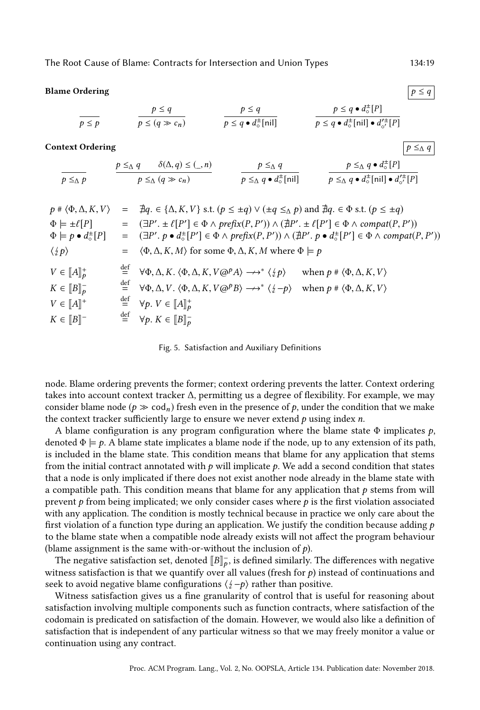#### <span id="page-18-0"></span>Blame Ordering  $p \leq q$

$$
\frac{p \le q}{p \le p} \qquad \qquad \frac{p \le q}{p \le (q \gg c_n)} \qquad \qquad \frac{p \le q}{p \le q \cdot d_{\circ}^{\pm}[\text{nil}]} \qquad \qquad \frac{p \le q \cdot d_{\circ}^{\pm}[P]}{p \le q \cdot d_{\circ}^{\pm}[\text{nil}] \cdot d_{\circ'}'^{\pm}[P]}
$$

**Context Ordering p ≤∆ q**  $p \leq_{\Delta} q$ 

|                     | $p \leq_{\Lambda} q$ $\delta(\Delta, q) \leq (\_, n)$ | $p \leq_{\Delta} q$                               | $p \leq_{\Delta} q \bullet d_{\circ}^{\pm}[P]$                                         |
|---------------------|-------------------------------------------------------|---------------------------------------------------|----------------------------------------------------------------------------------------|
| $p \leq_{\Delta} p$ | $p \leq_{\Delta} (q \gg c_n)$                         | $p \leq_{\Delta} q \bullet d_{\circ}^{\pm}$ [nil] | $p \leq_{\Delta} q \bullet d_{\circ}^{\pm}$ [nil] $\bullet d_{\circ'}^{\prime \pm}[P]$ |

| $p \# \langle \Phi, \Delta, K, V \rangle$   | $\equiv \nexists q. \in \{\Delta, K, V\} \text{ s.t. } (p \leq \pm q) \vee (\pm q \leq_{\Delta} p) \text{ and } \nexists q. \in \Phi \text{ s.t. } (p \leq \pm q)$                             |                                                |
|---------------------------------------------|------------------------------------------------------------------------------------------------------------------------------------------------------------------------------------------------|------------------------------------------------|
| $\Phi \models \pm \ell[P]$                  | $= (\exists P'. \pm \ell[P'] \in \Phi \land prefix(P, P')) \land (\nexists P'. \pm \ell[P'] \in \Phi \land compact(P, P'))$                                                                    |                                                |
| $\Phi \models p \bullet d_{\circ}^{\pm}[P]$ | $=$ $(\exists P'. p \bullet d_{\circ}^{\pm}[P'] \in \Phi \land prefix(P, P')) \land (\nexists P'. p \bullet d_{\circ}^{\pm}[P'] \in \Phi \land compact(P, P'))$                                |                                                |
| $\langle \frac{1}{2}p \rangle$              | $= \langle \Phi, \Delta, K, M \rangle$ for some $\Phi, \Delta, K, M$ where $\Phi \models p$                                                                                                    |                                                |
| $V \in [A]_p^+$                             | $\stackrel{\text{def}}{=} \forall \Phi, \Delta, K. \langle \Phi, \Delta, K, V \mathcal{Q}^p A \rangle \longrightarrow^* \langle \mathcal{L} p \rangle$                                         | when $p \# \langle \Phi, \Delta, K, V \rangle$ |
| $K \in [B]_p^-$                             | $\stackrel{\text{def}}{=} \forall \Phi, \Delta, V. \langle \Phi, \Delta, K, V \mathcal{Q}^p B \rangle \longrightarrow^* \langle \phi \rangle$ when $p \neq \langle \Phi, \Delta, K, V \rangle$ |                                                |
| $V \in [A]^{+}$                             | $\stackrel{\text{def}}{=} \forall p. V \in [A]_p^+$                                                                                                                                            |                                                |
| $K \in [B]$ <sup>-</sup>                    | $\stackrel{\text{def}}{=} \forall p. K \in [B]_p^-$                                                                                                                                            |                                                |

Fig. 5. Satisfaction and Auxiliary Definitions

node. Blame ordering prevents the former; context ordering prevents the latter. Context ordering takes into account context tracker ∆, permitting us a degree of flexibility. For example, we may consider blame node ( $p \gg \text{cod}_n$ ) fresh even in the presence of p, under the condition that we make the context tracker sufficiently large to ensure we never extend  $p$  using index  $n$ .

A blame configuration is any program configuration where the blame state  $\Phi$  implicates p, denoted  $\Phi \models p$ . A blame state implicates a blame node if the node, up to any extension of its path, is included in the blame state. This condition means that blame for any application that stems from the initial contract annotated with  $p$  will implicate  $p$ . We add a second condition that states that a node is only implicated if there does not exist another node already in the blame state with a compatible path. This condition means that blame for any application that  $p$  stems from will prevent  $p$  from being implicated; we only consider cases where  $p$  is the first violation associated with any application. The condition is mostly technical because in practice we only care about the first violation of a function type during an application. We justify the condition because adding  $p$ to the blame state when a compatible node already exists will not affect the program behaviour (blame assignment is the same with-or-without the inclusion of  $p$ ).

The negative satisfaction set, denoted  $[\![B]\!]_p^-$ , is defined similarly. The differences with negative witness satisfaction is that we quantify over all values (fresh for  $p$ ) instead of continuations and seek to avoid negative blame configurations  $\langle \frac{1}{2} - p \rangle$  rather than positive.

Witness satisfaction gives us a fine granularity of control that is useful for reasoning about satisfaction involving multiple components such as function contracts, where satisfaction of the codomain is predicated on satisfaction of the domain. However, we would also like a definition of satisfaction that is independent of any particular witness so that we may freely monitor a value or continuation using any contract.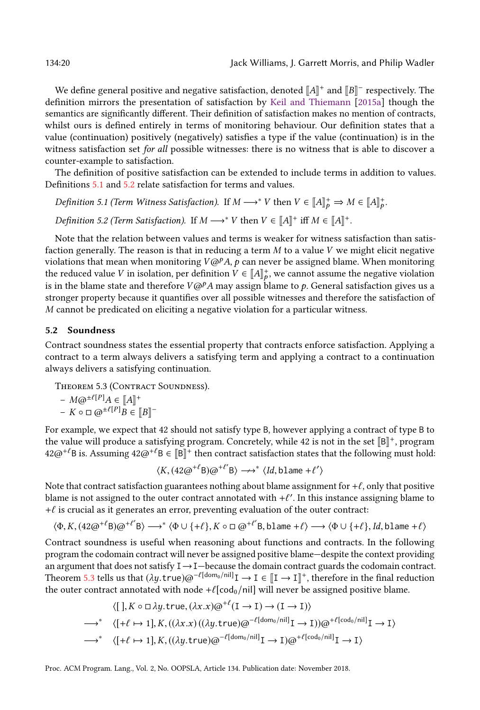We define general positive and negative satisfaction, denoted  $\llbracket A \rrbracket^+$  and  $\llbracket B \rrbracket^-$  respectively. The definition mirrors the presentation of satisfaction by [Keil and Thiemann](#page-27-3) [\[2015a\]](#page-27-3) though the semantics are significantly different. Their definition of satisfaction makes no mention of contracts, whilst ours is defined entirely in terms of monitoring behaviour. Our definition states that a value (continuation) positively (negatively) satisfies a type if the value (continuation) is in the witness satisfaction set for all possible witnesses: there is no witness that is able to discover a counter-example to satisfaction.

The definition of positive satisfaction can be extended to include terms in addition to values. Definitions [5.1](#page-19-0) and [5.2](#page-19-1) relate satisfaction for terms and values.

<span id="page-19-0"></span>*Definition 5.1 (Term Witness Satisfaction).* If  $M \longrightarrow^* V$  then  $V \in [A]_p^+ \Rightarrow M \in [A]_p^+$ .

<span id="page-19-1"></span>Definition 5.2 (Term Satisfaction). If  $M \longrightarrow^* V$  then  $V \in [A]^+$  iff  $M \in [A]^+$ .

Note that the relation between values and terms is weaker for witness satisfaction than satisfaction generally. The reason is that in reducing a term  $M$  to a value  $V$  we might elicit negative violations that mean when monitoring  $V(\mathcal{Q}^p A, p$  can never be assigned blame. When monitoring the reduced value V in isolation, per definition  $V \in [A]_p^+$ , we cannot assume the negative violation is in the blame state and therefore  $V\omega^p A$  may assign blame to p. General satisfaction gives us a stronger property because it quantifies over all possible witnesses and therefore the satisfaction of M cannot be predicated on eliciting a negative violation for a particular witness.

# 5.2 Soundness

Contract soundness states the essential property that contracts enforce satisfaction. Applying a contract to a term always delivers a satisfying term and applying a contract to a continuation always delivers a satisfying continuation.

<span id="page-19-2"></span>THEOREM 5.3 (CONTRACT SOUNDNESS).

$$
\vdash M @^{\pm \ell [P]}A \in [A]^+
$$

$$
- K \circ \Box \omega^{\pm \ell [P]} B \in [B]^-
$$

For example, we expect that 42 should not satisfy type B, however applying a contract of type B to the value will produce a satisfying program. Concretely, while 42 is not in the set  $[\mathbb{B}]^+$ , program  $42@^{+\ell}B$  is. Assuming  $42@^{+\ell}B \in [\![B]\!]^+$  then contract satisfaction states that the following must hold:

$$
\langle K, (42@^{+\ell}B)@^{+\ell'}B \rangle \longrightarrow^* \langle Id, \text{blame} + \ell' \rangle
$$

Note that contract satisfaction guarantees nothing about blame assignment for  $+\ell$ , only that positive blame is not assigned to the outer contract annotated with  $+t'$ . In this instance assigning blame to  $+\ell$  is crucial as it generates an error, preventing evaluation of the outer contract:

$$
\langle\Phi,K,(42\textcircled{a}^{+\ell'}\textsf{B})\textcircled{a}^{+\ell'}\textsf{B}\rangle\longrightarrow^*\langle\Phi\cup\{+\ell\},K\circ\Box\textcircled{a}^{+\ell'}\textsf{B},\textsf{blame}+\ell\rangle\longrightarrow\langle\Phi\cup\{+\ell\},\textit{Id},\textsf{blame}+\ell\rangle
$$

Contract soundness is useful when reasoning about functions and contracts. In the following program the codomain contract will never be assigned positive blame-despite the context providing an argument that does not satisfy  $I \rightarrow I$   $\rightarrow$  because the domain contract guards the codomain contract. Theorem [5.3](#page-19-2) tells us that  $(\lambda y.\text{true})\omega^{-\ell[\text{dom}_0/\text{nil}]} I \to I \in [I \to I]^+$ , therefore in the final reduction the outer contract annotated with node  $+ \ell [\text{cod}_0/\text{nil}]$  will never be assigned positive blame.

$$
\langle [[], K \circ \Box \lambda y. \text{true}, (\lambda x. x) @^{+\ell} (\mathbf{I} \to \mathbf{I}) \to (\mathbf{I} \to \mathbf{I}) \rangle
$$
  
\n
$$
\longrightarrow^* \langle [+ \ell \mapsto 1], K, ((\lambda x. x) ((\lambda y. \text{true}) @^{-\ell [\text{dom}_0 / \text{nil}]} \mathbf{I} \to \mathbf{I})) @^{+\ell [\text{cod}_0 / \text{nil}]} \mathbf{I} \to \mathbf{I} \rangle
$$
  
\n
$$
\longrightarrow^* \langle [+ \ell \mapsto 1], K, ((\lambda y. \text{true}) @^{-\ell [\text{dom}_0 / \text{nil}]} \mathbf{I} \to \mathbf{I}) @^{+\ell [\text{cod}_0 / \text{nil}]} \mathbf{I} \to \mathbf{I} \rangle
$$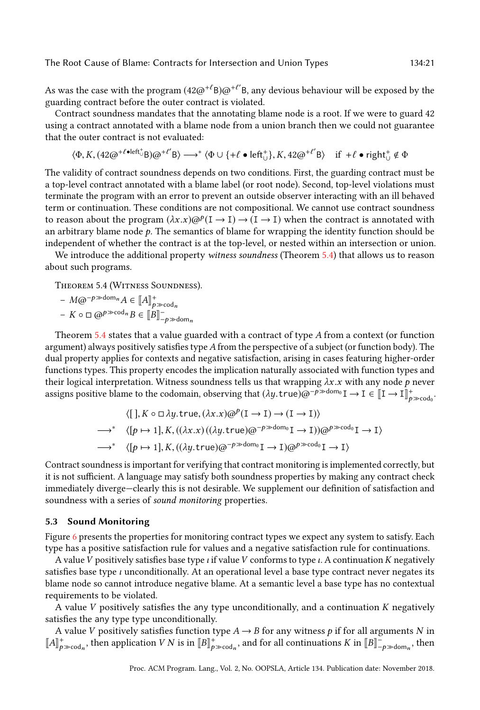As was the case with the program  $(42@^{+\ell}{\mathsf{B}})@^{+\ell'}{\mathsf{B}},$  any devious behaviour will be exposed by the guarding contract before the outer contract is violated.

Contract soundness mandates that the annotating blame node is a root. If we were to guard 42 using a contract annotated with a blame node from a union branch then we could not guarantee that the outer contract is not evaluated:

$$
\langle\Phi,K,(42\text{${\mathcal Q}$}^{+\ell\bullet\text{left}}{}_{\cup}^+\text{${\mathcal B}$})\text{${\mathcal Q}$}^{+\ell'}\text{${\mathcal B}$}\rangle\longrightarrow^*\langle\Phi\cup\{+\ell\bullet\text{left}^+_{\cup}\},K,42\text{${\mathcal Q}$}^{+\ell'}\text{${\mathcal B}$}\rangle\quad\text{if }\;+\ell\bullet\text{right}^+_{\cup}\notin\Phi
$$

The validity of contract soundness depends on two conditions. First, the guarding contract must be a top-level contract annotated with a blame label (or root node). Second, top-level violations must terminate the program with an error to prevent an outside observer interacting with an ill behaved term or continuation. These conditions are not compositional. We cannot use contract soundness to reason about the program  $(\lambda x.x) @^p(I \to I) \to (I \to I)$  when the contract is annotated with an arbitrary blame node  $p$ . The semantics of blame for wrapping the identity function should be independent of whether the contract is at the top-level, or nested within an intersection or union.

We introduce the additional property witness soundness (Theorem [5.4\)](#page-20-0) that allows us to reason about such programs.

<span id="page-20-0"></span>Theorem 5.4 (Witness Soundness).

$$
- M @^{-p \gg \text{dom}_n} A \in [A]_{p \gg \text{cod}_n}^{+}
$$
  

$$
- K \circ \Box @^{p \gg \text{cod}_n} B \in [R]^{-}
$$

$$
- K \circ \Box \, @^{p \gg \text{cod}_n}B \in \llbracket B \rrbracket_{-p \gg \text{dom}_n}^{-}
$$

Theorem [5.4](#page-20-0) states that a value guarded with a contract of type A from a context (or function argument) always positively satisfies type A from the perspective of a subject (or function body). The dual property applies for contexts and negative satisfaction, arising in cases featuring higher-order functions types. This property encodes the implication naturally associated with function types and their logical interpretation. Witness soundness tells us that wrapping  $\lambda x.x$  with any node p never assigns positive blame to the codomain, observing that  $(\lambda y.$ true) $\omega^{-p\gg \text{dom}_0}I \to I \in [I \to I]_p^+$ +<br> $p$ ≫cod $_0$ `

$$
\langle [[], K \circ \Box \lambda y. true, (\lambda x. x) @^{p} (I \to I) \to (I \to I) \rangle
$$
  
\n
$$
\rightarrow^* \langle [p \mapsto 1], K, ((\lambda x. x) ((\lambda y. true) @^{-p \gg \text{dom}_0} I \to I)) @^{p \gg \text{cod}_0} I \to I \rangle
$$
  
\n
$$
\rightarrow^* \langle [p \mapsto 1], K, ((\lambda y. true) @^{-p \gg \text{dom}_0} I \to I) @^{p \gg \text{cod}_0} I \to I \rangle
$$

Contract soundness is important for verifying that contract monitoring is implemented correctly, but it is not sufficient. A language may satisfy both soundness properties by making any contract check immediately diverge-clearly this is not desirable. We supplement our definition of satisfaction and soundness with a series of *sound monitoring* properties.

#### 5.3 Sound Monitoring

Figure [6](#page-21-0) presents the properties for monitoring contract types we expect any system to satisfy. Each type has a positive satisfaction rule for values and a negative satisfaction rule for continuations.

A value V positively satisfies base type  $\iota$  if value V conforms to type  $\iota$ . A continuation K negatively satisfies base type  $\iota$  unconditionally. At an operational level a base type contract never negates its blame node so cannot introduce negative blame. At a semantic level a base type has no contextual requirements to be violated.

A value V positively satisfies the any type unconditionally, and a continuation K negatively satisfies the any type type unconditionally.

A value V positively satisfies function type  $A \rightarrow B$  for any witness p if for all arguments N in  $[A]_n^+$  $p^+_{p \gg \text{cod}_n}$ , then application V N is in  $\llbracket B \rrbracket_p^+$  $p^*_{p \gg \text{cod}_n}$ , and for all continuations K in  $[[B]]_{-p \gg \text{dom}_n}^-$ , then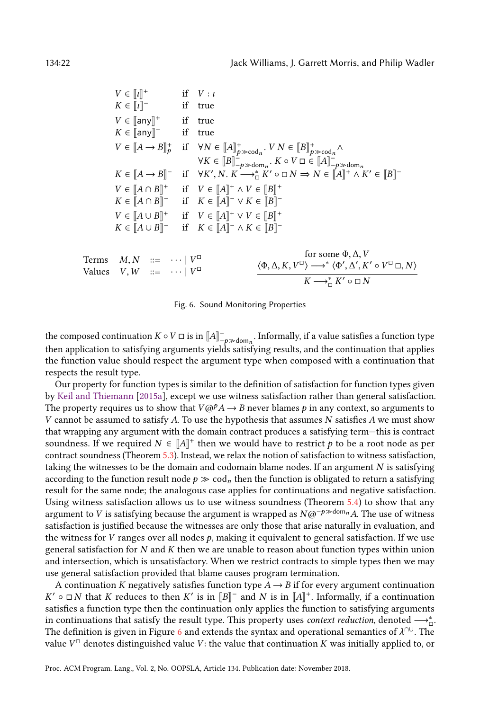<span id="page-21-0"></span> $V \in [\![\iota]\!]^+$ if  $V : \iota$  $K \in \overline{[\![} \iota \overline{]\!]}^$ if true  $V \in [\lfloor \text{any} \rfloor]^+$ if true  $K \in [\![ \text{any} ]\!]^$ if true  $V \in [A \rightarrow B]_p^+$ if  $\forall N \in [A]_p^+$  $p \gg \text{cod}_n$ .  $V N \in [B]_p^+$ <sup>+</sup><br>p≫cod<sub>n</sub></sub> ∧  $\forall K \in \llbracket B \rrbracket_{-p \gg \text{dom}_n}^{-}. K \circ V \Box \in \llbracket A \rrbracket_{-p \gg \text{dom}_n}^{-}$  $K \in [A \rightarrow B]$ <sup>-</sup> if  $\forall K', N. K \longrightarrow_{\Box}^{P \times \text{dom}_n} K' \circ \Box N \Rightarrow N \in [A]^+ \wedge K' \in [B]^ V \in [A \cap B]^+$ if  $V \in [A]^+ \wedge V \in [B]^+$  $K \in \overline{A \cap B}$ <sup>-</sup> if  $K \in [\![A]\!]^- \vee K \in [\![B]\!]^ V \in [A \cup B]^+$ if  $V \in [A]^+ \vee V \in [B]^+$  $K \in [A \cup B]$ <sup>-</sup> if  $K \in [A]^- \wedge K \in [B]^$ for some  $\Phi$ ,  $\Delta$ ,  $V$ 

Terms 
$$
M, N := \cdots | V^{\square}
$$
  
\nValues  $V, W := \cdots | V^{\square}$   
\n $\xrightarrow{\langle \Phi, \Delta, K, V^{\square} \rangle \longrightarrow^* \langle \Phi', \Delta', K' \circ V^{\square} \square, N \rangle}$   
\n $K \longrightarrow^*_{\square} K' \circ \square N$ 

Fig. 6. Sound Monitoring Properties

the composed continuation  $K \circ V \square$  is in  $[\![A]\!]_{-p\gg \text{dom}_n}^-$ . Informally, if a value satisfies a function type then application to satisfying arguments yields satisfying results, and the continuation that applies the function value should respect the argument type when composed with a continuation that respects the result type.

Our property for function types is similar to the definition of satisfaction for function types given by [Keil and Thiemann](#page-27-3) [\[2015a\]](#page-27-3), except we use witness satisfaction rather than general satisfaction. The property requires us to show that  $V \omega^p A \rightarrow B$  never blames p in any context, so arguments to V cannot be assumed to satisfy A. To use the hypothesis that assumes  $N$  satisfies  $A$  we must show that wrapping any argument with the domain contract produces a satisfying term–this is contract soundness. If we required  $N \in [A]^+$  then we would have to restrict p to be a root node as per contract soundness (Theorem [5.3\)](#page-19-2). Instead, we relax the notion of satisfaction to witness satisfaction, taking the witnesses to be the domain and codomain blame nodes. If an argument  $N$  is satisfying according to the function result node  $p \gg \text{cod}_n$  then the function is obligated to return a satisfying result for the same node; the analogous case applies for continuations and negative satisfaction. Using witness satisfaction allows us to use witness soundness (Theorem [5.4\)](#page-20-0) to show that any argument to V is satisfying because the argument is wrapped as  $N@^{-p \gg dom_n}A$ . The use of witness satisfaction is justified because the witnesses are only those that arise naturally in evaluation, and the witness for  $V$  ranges over all nodes  $p$ , making it equivalent to general satisfaction. If we use general satisfaction for  $N$  and  $K$  then we are unable to reason about function types within union and intersection, which is unsatisfactory. When we restrict contracts to simple types then we may use general satisfaction provided that blame causes program termination.

A continuation K negatively satisfies function type  $A \rightarrow B$  if for every argument continuation  $K' \circ \Box N$  that K reduces to then  $K'$  is in  $[[B]]^-$  and N is in  $[[A]]^+$ . Informally, if a continuation satisfies a function type then the continuation only applies the function to satisfying arguments in continuations that satisfy the result type. This property uses *context reduction*, denoted  $\rightarrow_{\Box}^*$ . The definition is given in Figure [6](#page-21-0) and extends the syntax and operational semantics of  $\lambda^{\cap\cup}$ . The value  $V^{\Box}$  denotes distinguished value V: the value that continuation K was initially applied to, or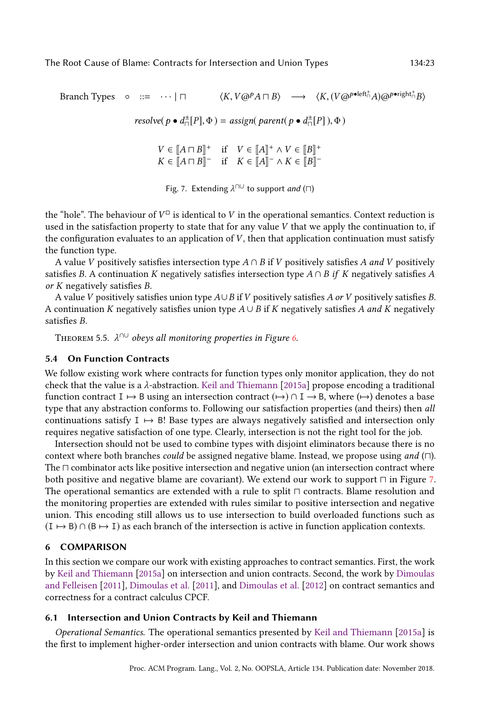<span id="page-22-1"></span>Branch Types ∘ ::= ··· | ⊓  $\langle K, V \mathcal{Q}^p A \sqcap B \rangle$  →  $\langle K, (V \mathcal{Q}^{p \bullet \mathsf{left}_\sqcap^+} A) \mathcal{Q}^{p \bullet \mathsf{right}_\sqcap^+} B \rangle$ resolve( $p \bullet d_{\sqcap}^{\pm}[P], \Phi$ ) = assign( parent( $p \bullet d_{\sqcap}^{\pm}[P], \Phi$ )  $V \in [A \sqcap B]^+$  if  $V \in [A]^+ \wedge V \in [B]^+$  $K \in [A \sqcap B]^-$  if  $K \in [A]^- \wedge K \in [B]^-$ Fig. 7. Extending  $\lambda^{\cap\cup}$  to support and ( $\sqcap$ )

the "hole". The behaviour of  $V^{\Box}$  is identical to  $V$  in the operational semantics. Context reduction is used in the satisfaction property to state that for any value  $V$  that we apply the continuation to, if the configuration evaluates to an application of  $V$ , then that application continuation must satisfy the function type.

A value V positively satisfies intersection type  $A \cap B$  if V positively satisfies A and V positively satisfies B. A continuation K negatively satisfies intersection type  $A \cap B$  if K negatively satisfies A or K negatively satisfies B.

A value V positively satisfies union type  $A \cup B$  if V positively satisfies A or V positively satisfies B. A continuation K negatively satisfies union type  $A \cup B$  if K negatively satisfies A and K negatively satisfies B.

THEOREM 5.5.  $\lambda^{\cap\cup}$  obeys all monitoring properties in Figure [6.](#page-21-0)

# 5.4 On Function Contracts

We follow existing work where contracts for function types only monitor application, they do not check that the value is a  $\lambda$ -abstraction. [Keil and Thiemann](#page-27-3) [\[2015a\]](#page-27-3) propose encoding a traditional function contract  $I \mapsto B$  using an intersection contract  $(\mapsto) \cap I \to B$ , where  $(\mapsto)$  denotes a base type that any abstraction conforms to. Following our satisfaction properties (and theirs) then all continuations satisfy  $I \mapsto B!$  Base types are always negatively satisfied and intersection only requires negative satisfaction of one type. Clearly, intersection is not the right tool for the job.

Intersection should not be used to combine types with disjoint eliminators because there is no context where both branches *could* be assigned negative blame. Instead, we propose using *and*  $(\Box)$ . The ⊓ combinator acts like positive intersection and negative union (an intersection contract where both positive and negative blame are covariant). We extend our work to support ⊓ in Figure [7.](#page-22-1) The operational semantics are extended with a rule to split ⊓ contracts. Blame resolution and the monitoring properties are extended with rules similar to positive intersection and negative union. This encoding still allows us to use intersection to build overloaded functions such as  $(I \rightarrow B) \cap (B \rightarrow I)$  as each branch of the intersection is active in function application contexts.

# <span id="page-22-0"></span>6 COMPARISON

In this section we compare our work with existing approaches to contract semantics. First, the work by [Keil and Thiemann](#page-27-3) [\[2015a\]](#page-27-3) on intersection and union contracts. Second, the work by [Dimoulas](#page-27-4) [and Felleisen](#page-27-4) [\[2011\]](#page-27-4), [Dimoulas et al.](#page-27-13) [\[2011\]](#page-27-13), and [Dimoulas et al.](#page-27-14) [\[2012\]](#page-27-14) on contract semantics and correctness for a contract calculus CPCF.

# 6.1 Intersection and Union Contracts by Keil and Thiemann

Operational Semantics. The operational semantics presented by [Keil and Thiemann](#page-27-3) [\[2015a\]](#page-27-3) is the first to implement higher-order intersection and union contracts with blame. Our work shows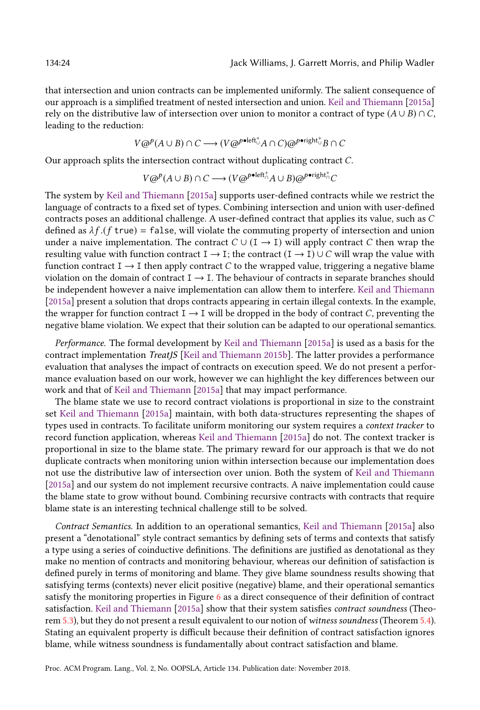that intersection and union contracts can be implemented uniformly. The salient consequence of our approach is a simplified treatment of nested intersection and union. [Keil and Thiemann](#page-27-3) [\[2015a\]](#page-27-3) rely on the distributive law of intersection over union to monitor a contract of type  $(A \cup B) \cap C$ , leading to the reduction:

$$
V\mathcal{Q}^p(A\cup B)\cap C\longrightarrow (V\mathcal{Q}^{p\bullet \mathsf{left}^+_{\cup}}A\cap C)\mathcal{Q}^{p\bullet \mathsf{right}^+_{\cup}}B\cap C
$$

Our approach splits the intersection contract without duplicating contract C.

$$
V@^{p}(A\cup B)\cap C\longrightarrow (V@^{p\bullet\mathrm{left}^+_{\cap}}A\cup B)@^{p\bullet\mathrm{right}^+_{\cap}}C
$$

The system by [Keil and Thiemann](#page-27-3) [\[2015a\]](#page-27-3) supports user-defined contracts while we restrict the language of contracts to a fixed set of types. Combining intersection and union with user-defined contracts poses an additional challenge. A user-defined contract that applies its value, such as C defined as  $\lambda f$ .(f true) = false, will violate the commuting property of intersection and union under a naive implementation. The contract  $C \cup (I \rightarrow I)$  will apply contract C then wrap the resulting value with function contract I  $\rightarrow$  I; the contract (I  $\rightarrow$  I) ∪ C will wrap the value with function contract  $I \rightarrow I$  then apply contract C to the wrapped value, triggering a negative blame violation on the domain of contract  $I \rightarrow I$ . The behaviour of contracts in separate branches should be independent however a naive implementation can allow them to interfere. [Keil and Thiemann](#page-27-3) [\[2015a\]](#page-27-3) present a solution that drops contracts appearing in certain illegal contexts. In the example, the wrapper for function contract  $I \rightarrow I$  will be dropped in the body of contract C, preventing the negative blame violation. We expect that their solution can be adapted to our operational semantics.

Performance. The formal development by [Keil and Thiemann](#page-27-3) [\[2015a\]](#page-27-3) is used as a basis for the contract implementation *Treat*/S [\[Keil and Thiemann 2015b\]](#page-27-15). The latter provides a performance evaluation that analyses the impact of contracts on execution speed. We do not present a performance evaluation based on our work, however we can highlight the key differences between our work and that of [Keil and Thiemann](#page-27-3) [\[2015a\]](#page-27-3) that may impact performance.

The blame state we use to record contract violations is proportional in size to the constraint set [Keil and Thiemann](#page-27-3) [\[2015a\]](#page-27-3) maintain, with both data-structures representing the shapes of types used in contracts. To facilitate uniform monitoring our system requires a context tracker to record function application, whereas [Keil and Thiemann](#page-27-3) [\[2015a\]](#page-27-3) do not. The context tracker is proportional in size to the blame state. The primary reward for our approach is that we do not duplicate contracts when monitoring union within intersection because our implementation does not use the distributive law of intersection over union. Both the system of [Keil and Thiemann](#page-27-3) [\[2015a\]](#page-27-3) and our system do not implement recursive contracts. A naive implementation could cause the blame state to grow without bound. Combining recursive contracts with contracts that require blame state is an interesting technical challenge still to be solved.

Contract Semantics. In addition to an operational semantics, [Keil and Thiemann](#page-27-3) [\[2015a\]](#page-27-3) also present a "denotational" style contract semantics by defining sets of terms and contexts that satisfy a type using a series of coinductive definitions. The definitions are justified as denotational as they make no mention of contracts and monitoring behaviour, whereas our definition of satisfaction is defined purely in terms of monitoring and blame. They give blame soundness results showing that satisfying terms (contexts) never elicit positive (negative) blame, and their operational semantics satisfy the monitoring properties in Figure [6](#page-21-0) as a direct consequence of their definition of contract satisfaction. [Keil and Thiemann](#page-27-3) [\[2015a\]](#page-27-3) show that their system satisfies contract soundness (Theorem [5.3\)](#page-19-2), but they do not present a result equivalent to our notion of witness soundness (Theorem [5.4\)](#page-20-0). Stating an equivalent property is difficult because their definition of contract satisfaction ignores blame, while witness soundness is fundamentally about contract satisfaction and blame.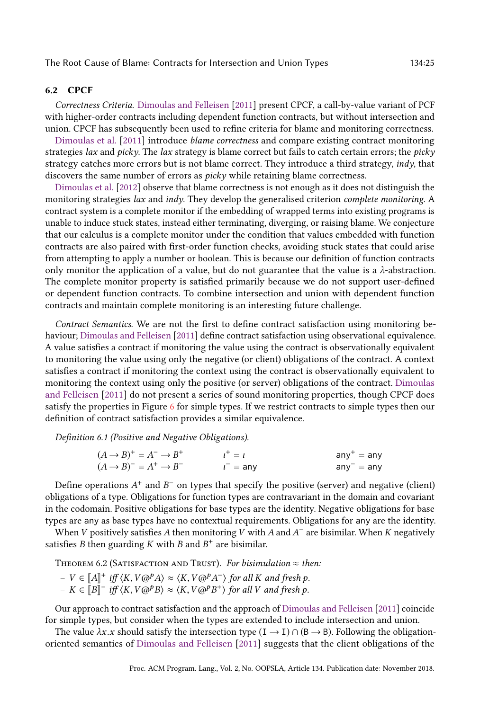#### 6.2 CPCF

Correctness Criteria. [Dimoulas and Felleisen](#page-27-4) [\[2011\]](#page-27-4) present CPCF, a call-by-value variant of PCF with higher-order contracts including dependent function contracts, but without intersection and union. CPCF has subsequently been used to refine criteria for blame and monitoring correctness.

[Dimoulas et al.](#page-27-13) [\[2011\]](#page-27-13) introduce blame correctness and compare existing contract monitoring strategies lax and picky. The lax strategy is blame correct but fails to catch certain errors; the picky strategy catches more errors but is not blame correct. They introduce a third strategy, indy, that discovers the same number of errors as picky while retaining blame correctness.

[Dimoulas et al.](#page-27-14) [\[2012\]](#page-27-14) observe that blame correctness is not enough as it does not distinguish the monitoring strategies lax and indy. They develop the generalised criterion complete monitoring. A contract system is a complete monitor if the embedding of wrapped terms into existing programs is unable to induce stuck states, instead either terminating, diverging, or raising blame. We conjecture that our calculus is a complete monitor under the condition that values embedded with function contracts are also paired with first-order function checks, avoiding stuck states that could arise from attempting to apply a number or boolean. This is because our definition of function contracts only monitor the application of a value, but do not guarantee that the value is a  $\lambda$ -abstraction. The complete monitor property is satisfied primarily because we do not support user-defined or dependent function contracts. To combine intersection and union with dependent function contracts and maintain complete monitoring is an interesting future challenge.

Contract Semantics. We are not the first to define contract satisfaction using monitoring behaviour; [Dimoulas and Felleisen](#page-27-4) [\[2011\]](#page-27-4) define contract satisfaction using observational equivalence. A value satisfies a contract if monitoring the value using the contract is observationally equivalent to monitoring the value using only the negative (or client) obligations of the contract. A context satisfies a contract if monitoring the context using the contract is observationally equivalent to monitoring the context using only the positive (or server) obligations of the contract. [Dimoulas](#page-27-4) [and Felleisen](#page-27-4) [\[2011\]](#page-27-4) do not present a series of sound monitoring properties, though CPCF does satisfy the properties in Figure [6](#page-21-0) for simple types. If we restrict contracts to simple types then our definition of contract satisfaction provides a similar equivalence.

Definition 6.1 (Positive and Negative Obligations).

$$
(A \rightarrow B)^{+} = A^{-} \rightarrow B^{+}
$$
  
\n
$$
(A \rightarrow B)^{-} = A^{+} \rightarrow B^{-}
$$
  
\n
$$
t^{+} = t
$$
  
\n
$$
t^{-} = \text{any}
$$
  
\n
$$
t^{-} = \text{any}
$$
  
\n
$$
\text{any}^{+} = \text{any}
$$
  
\n
$$
\text{any}^{-} = \text{any}
$$

Define operations  $A^+$  and  $B^-$  on types that specify the positive (server) and negative (client) obligations of a type. Obligations for function types are contravariant in the domain and covariant in the codomain. Positive obligations for base types are the identity. Negative obligations for base types are any as base types have no contextual requirements. Obligations for any are the identity.

When V positively satisfies A then monitoring V with A and  $A^-$  are bisimilar. When K negatively satisfies *B* then guarding *K* with *B* and  $B^+$  are bisimilar.

THEOREM 6.2 (SATISFACTION AND TRUST). For bisimulation  $\approx$  then:

 $-V \in [A]^+$  iff  $\langle K, V \varpi^p A \rangle \approx \langle K, V \varpi^p A^- \rangle$  for all K and fresh p.

 $- K \in \overline{[B]}^-$  iff  $\langle K, V \overline{\omega}^p B \rangle \approx \langle K, V \overline{\omega}^p B^+ \rangle$  for all V and fresh p.

Our approach to contract satisfaction and the approach of [Dimoulas and Felleisen](#page-27-4) [\[2011\]](#page-27-4) coincide for simple types, but consider when the types are extended to include intersection and union.

The value  $\lambda x.x$  should satisfy the intersection type  $(I \to I) \cap (B \to B)$ . Following the obligationoriented semantics of [Dimoulas and Felleisen](#page-27-4) [\[2011\]](#page-27-4) suggests that the client obligations of the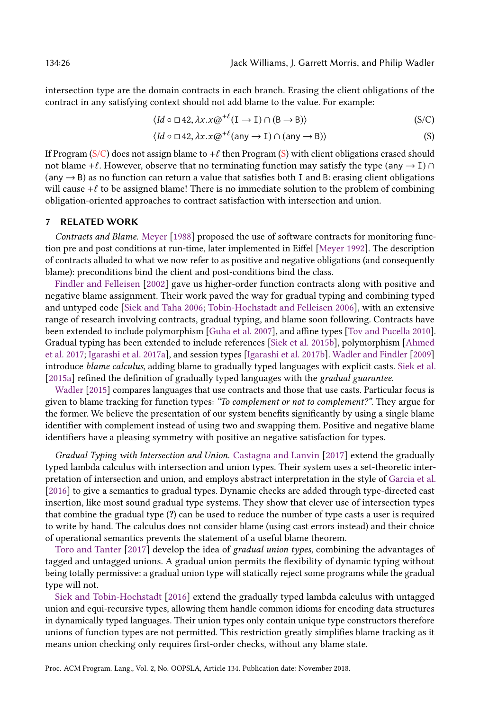intersection type are the domain contracts in each branch. Erasing the client obligations of the contract in any satisfying context should not add blame to the value. For example:

<span id="page-25-2"></span><span id="page-25-1"></span>
$$
\langle Id \circ \Box 42, \lambda x. x \mathcal{Q}^{+\ell} (\mathbf{I} \to \mathbf{I}) \cap (\mathbf{B} \to \mathbf{B}) \rangle \tag{S/C}
$$

$$
\langle Id \circ \Box 42, \lambda x. x \mathcal{Q}^{+\ell}(\text{any} \to \mathrm{I}) \cap (\text{any} \to \mathrm{B}) \rangle \tag{S}
$$

If Program ( $S/C$ ) does not assign blame to  $+\ell$  then Program [\(S\)](#page-25-2) with client obligations erased should not blame + $\ell$ . However, observe that no terminating function may satisfy the type (any  $\rightarrow$  I)  $\cap$ (any  $\rightarrow$  B) as no function can return a value that satisfies both I and B: erasing client obligations will cause  $+\ell$  to be assigned blame! There is no immediate solution to the problem of combining obligation-oriented approaches to contract satisfaction with intersection and union.

# <span id="page-25-0"></span>7 RELATED WORK

Contracts and Blame. [Meyer](#page-27-1) [\[1988\]](#page-27-1) proposed the use of software contracts for monitoring function pre and post conditions at run-time, later implemented in Eiffel [\[Meyer 1992\]](#page-27-16). The description of contracts alluded to what we now refer to as positive and negative obligations (and consequently blame): preconditions bind the client and post-conditions bind the class.

[Findler and Felleisen](#page-27-2) [\[2002\]](#page-27-2) gave us higher-order function contracts along with positive and negative blame assignment. Their work paved the way for gradual typing and combining typed and untyped code [\[Siek and Taha 2006;](#page-27-0) [Tobin-Hochstadt and Felleisen 2006\]](#page-28-1), with an extensive range of research involving contracts, gradual typing, and blame soon following. Contracts have been extended to include polymorphism [\[Guha et al.](#page-27-10) [2007\]](#page-27-10), and affine types [\[Tov and Pucella 2010\]](#page-28-2). Gradual typing has been extended to include references [\[Siek et al.](#page-28-3) [2015b\]](#page-28-3), polymorphism [\[Ahmed](#page-27-17) [et al.](#page-27-17) [2017;](#page-27-17) [Igarashi et al.](#page-27-18) [2017a\]](#page-27-18), and session types [\[Igarashi et al.](#page-27-19) [2017b\]](#page-27-19). [Wadler and Findler](#page-28-4) [\[2009\]](#page-28-4) introduce blame calculus, adding blame to gradually typed languages with explicit casts. [Siek et al.](#page-27-20) [\[2015a\]](#page-27-20) refined the definition of gradually typed languages with the gradual guarantee.

[Wadler](#page-28-5) [\[2015\]](#page-28-5) compares languages that use contracts and those that use casts. Particular focus is given to blame tracking for function types: "To complement or not to complement?". They argue for the former. We believe the presentation of our system benefits significantly by using a single blame identifier with complement instead of using two and swapping them. Positive and negative blame identifiers have a pleasing symmetry with positive an negative satisfaction for types.

Gradual Typing with Intersection and Union. [Castagna and Lanvin](#page-27-21) [\[2017\]](#page-27-21) extend the gradually typed lambda calculus with intersection and union types. Their system uses a set-theoretic interpretation of intersection and union, and employs abstract interpretation in the style of [Garcia et al.](#page-27-22) [\[2016\]](#page-27-22) to give a semantics to gradual types. Dynamic checks are added through type-directed cast insertion, like most sound gradual type systems. They show that clever use of intersection types that combine the gradual type (?) can be used to reduce the number of type casts a user is required to write by hand. The calculus does not consider blame (using cast errors instead) and their choice of operational semantics prevents the statement of a useful blame theorem.

[Toro and Tanter](#page-28-6) [\[2017\]](#page-28-6) develop the idea of gradual union types, combining the advantages of tagged and untagged unions. A gradual union permits the flexibility of dynamic typing without being totally permissive: a gradual union type will statically reject some programs while the gradual type will not.

[Siek and Tobin-Hochstadt](#page-27-23) [\[2016\]](#page-27-23) extend the gradually typed lambda calculus with untagged union and equi-recursive types, allowing them handle common idioms for encoding data structures in dynamically typed languages. Their union types only contain unique type constructors therefore unions of function types are not permitted. This restriction greatly simplifies blame tracking as it means union checking only requires first-order checks, without any blame state.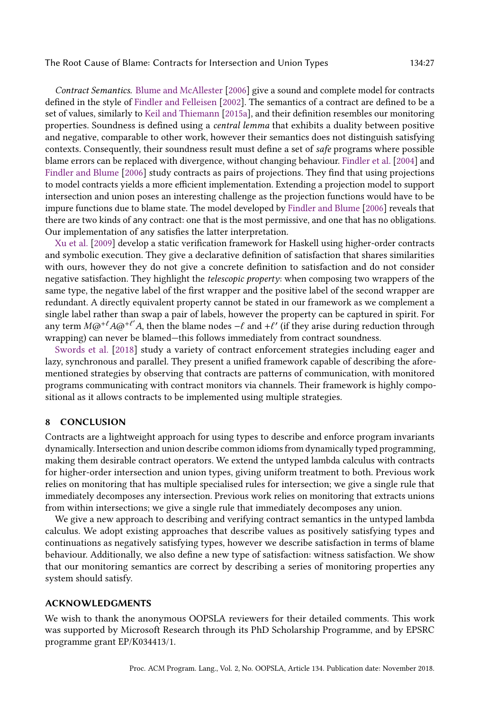Contract Semantics. [Blume and McAllester](#page-27-24) [\[2006\]](#page-27-24) give a sound and complete model for contracts defined in the style of [Findler and Felleisen](#page-27-2) [\[2002\]](#page-27-2). The semantics of a contract are defined to be a set of values, similarly to [Keil and Thiemann](#page-27-3) [\[2015a\]](#page-27-3), and their definition resembles our monitoring properties. Soundness is defined using a central lemma that exhibits a duality between positive and negative, comparable to other work, however their semantics does not distinguish satisfying contexts. Consequently, their soundness result must define a set of safe programs where possible blame errors can be replaced with divergence, without changing behaviour. [Findler et al.](#page-27-25) [\[2004\]](#page-27-25) and [Findler and Blume](#page-27-26) [\[2006\]](#page-27-26) study contracts as pairs of projections. They find that using projections to model contracts yields a more efficient implementation. Extending a projection model to support intersection and union poses an interesting challenge as the projection functions would have to be impure functions due to blame state. The model developed by [Findler and Blume](#page-27-26) [\[2006\]](#page-27-26) reveals that there are two kinds of any contract: one that is the most permissive, and one that has no obligations. Our implementation of any satisfies the latter interpretation.

[Xu et al.](#page-28-7) [\[2009\]](#page-28-7) develop a static verification framework for Haskell using higher-order contracts and symbolic execution. They give a declarative definition of satisfaction that shares similarities with ours, however they do not give a concrete definition to satisfaction and do not consider negative satisfaction. They highlight the telescopic property: when composing two wrappers of the same type, the negative label of the first wrapper and the positive label of the second wrapper are redundant. A directly equivalent property cannot be stated in our framework as we complement a single label rather than swap a pair of labels, however the property can be captured in spirit. For any term  $M\omega^{+\ell}A\omega^{+\ell'}A$ , then the blame nodes  $-\ell$  and  $+\ell'$  (if they arise during reduction through wrapping) can never be blamed-this follows immediately from contract soundness.

[Swords et al.](#page-28-8) [\[2018\]](#page-28-8) study a variety of contract enforcement strategies including eager and lazy, synchronous and parallel. They present a unified framework capable of describing the aforementioned strategies by observing that contracts are patterns of communication, with monitored programs communicating with contract monitors via channels. Their framework is highly compositional as it allows contracts to be implemented using multiple strategies.

#### <span id="page-26-0"></span>8 CONCLUSION

Contracts are a lightweight approach for using types to describe and enforce program invariants dynamically. Intersection and union describe common idioms from dynamically typed programming, making them desirable contract operators. We extend the untyped lambda calculus with contracts for higher-order intersection and union types, giving uniform treatment to both. Previous work relies on monitoring that has multiple specialised rules for intersection; we give a single rule that immediately decomposes any intersection. Previous work relies on monitoring that extracts unions from within intersections; we give a single rule that immediately decomposes any union.

We give a new approach to describing and verifying contract semantics in the untyped lambda calculus. We adopt existing approaches that describe values as positively satisfying types and continuations as negatively satisfying types, however we describe satisfaction in terms of blame behaviour. Additionally, we also define a new type of satisfaction: witness satisfaction. We show that our monitoring semantics are correct by describing a series of monitoring properties any system should satisfy.

# ACKNOWLEDGMENTS

We wish to thank the anonymous OOPSLA reviewers for their detailed comments. This work was supported by Microsoft Research through its PhD Scholarship Programme, and by EPSRC programme grant EP/K034413/1.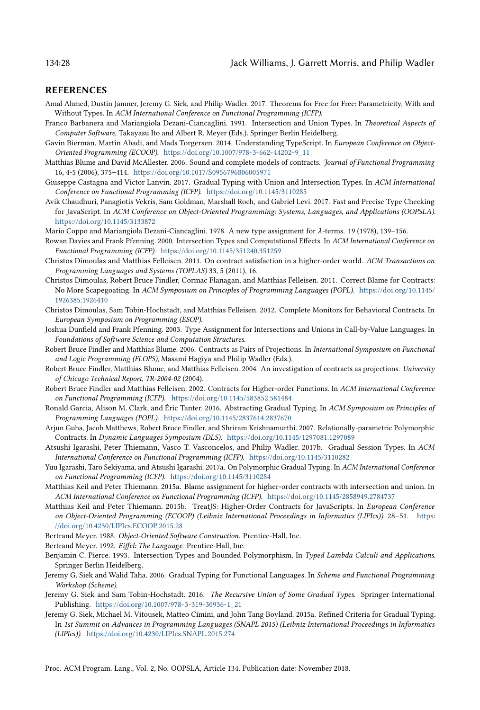#### 134:28 Jack Williams, J. Garrett Morris, and Philip Wadler

#### REFERENCES

- <span id="page-27-17"></span>Amal Ahmed, Dustin Jamner, Jeremy G. Siek, and Philip Wadler. 2017. Theorems for Free for Free: Parametricity, With and Without Types. In ACM International Conference on Functional Programming (ICFP).
- <span id="page-27-11"></span>Franco Barbanera and Mariangiola Dezani-Ciancaglini. 1991. Intersection and Union Types. In Theoretical Aspects of Computer Software, Takayasu Ito and Albert R. Meyer (Eds.). Springer Berlin Heidelberg.
- <span id="page-27-8"></span>Gavin Bierman, Martín Abadi, and Mads Torgersen. 2014. Understanding TypeScript. In European Conference on Object-Oriented Programming (ECOOP). [https://doi.org/10.1007/978-3-662-44202-9\\_11](https://doi.org/10.1007/978-3-662-44202-9_11)
- <span id="page-27-24"></span>Matthias Blume and David McAllester. 2006. Sound and complete models of contracts. Journal of Functional Programming 16, 4-5 (2006), 375-414. <https://doi.org/10.1017/S0956796806005971>
- <span id="page-27-21"></span>Giuseppe Castagna and Victor Lanvin. 2017. Gradual Typing with Union and Intersection Types. In ACM International Conference on Functional Programming (ICFP). <https://doi.org/10.1145/3110285>
- <span id="page-27-9"></span>Avik Chaudhuri, Panagiotis Vekris, Sam Goldman, Marshall Roch, and Gabriel Levi. 2017. Fast and Precise Type Checking for JavaScript. In ACM Conference on Object-Oriented Programming: Systems, Languages, and Applications (OOPSLA). <https://doi.org/10.1145/3133872>
- <span id="page-27-5"></span>Mario Coppo and Mariangiola Dezani-Ciancaglini. 1978. A new type assignment for λ-terms. 19 (1978), 139-156.
- <span id="page-27-6"></span>Rowan Davies and Frank Pfenning. 2000. Intersection Types and Computational Effects. In ACM International Conference on Functional Programming (ICFP). <https://doi.org/10.1145/351240.351259>
- <span id="page-27-4"></span>Christos Dimoulas and Matthias Felleisen. 2011. On contract satisfaction in a higher-order world. ACM Transactions on Programming Languages and Systems (TOPLAS) 33, 5 (2011), 16.
- <span id="page-27-13"></span>Christos Dimoulas, Robert Bruce Findler, Cormac Flanagan, and Matthias Felleisen. 2011. Correct Blame for Contracts: No More Scapegoating. In ACM Symposium on Principles of Programming Languages (POPL). [https://doi.org/10.1145/](https://doi.org/10.1145/1926385.1926410) [1926385.1926410](https://doi.org/10.1145/1926385.1926410)
- <span id="page-27-14"></span>Christos Dimoulas, Sam Tobin-Hochstadt, and Matthias Felleisen. 2012. Complete Monitors for Behavioral Contracts. In European Symposium on Programming (ESOP).
- <span id="page-27-12"></span>Joshua Dunfield and Frank Pfenning. 2003. Type Assignment for Intersections and Unions in Call-by-Value Languages. In Foundations of Software Science and Computation Structures.
- <span id="page-27-26"></span>Robert Bruce Findler and Matthias Blume. 2006. Contracts as Pairs of Projections. In International Symposium on Functional and Logic Programming (FLOPS), Masami Hagiya and Philip Wadler (Eds.).
- <span id="page-27-25"></span>Robert Bruce Findler, Matthias Blume, and Matthias Felleisen. 2004. An investigation of contracts as projections. University of Chicago Technical Report, TR-2004-02 (2004).
- <span id="page-27-2"></span>Robert Bruce Findler and Matthias Felleisen. 2002. Contracts for Higher-order Functions. In ACM International Conference on Functional Programming (ICFP). <https://doi.org/10.1145/583852.581484>
- <span id="page-27-22"></span>Ronald Garcia, Alison M. Clark, and Éric Tanter. 2016. Abstracting Gradual Typing. In ACM Symposium on Principles of Programming Languages (POPL). <https://doi.org/10.1145/2837614.2837670>
- <span id="page-27-10"></span>Arjun Guha, Jacob Matthews, Robert Bruce Findler, and Shriram Krishnamurthi. 2007. Relationally-parametric Polymorphic Contracts. In Dynamic Languages Symposium (DLS). <https://doi.org/10.1145/1297081.1297089>
- <span id="page-27-19"></span>Atsushi Igarashi, Peter Thiemann, Vasco T. Vasconcelos, and Philip Wadler. 2017b. Gradual Session Types. In ACM International Conference on Functional Programming (ICFP). <https://doi.org/10.1145/3110282>
- <span id="page-27-18"></span>Yuu Igarashi, Taro Sekiyama, and Atsushi Igarashi. 2017a. On Polymorphic Gradual Typing. In ACM International Conference on Functional Programming (ICFP). <https://doi.org/10.1145/3110284>
- <span id="page-27-3"></span>Matthias Keil and Peter Thiemann. 2015a. Blame assignment for higher-order contracts with intersection and union. In ACM International Conference on Functional Programming (ICFP). <https://doi.org/10.1145/2858949.2784737>
- <span id="page-27-15"></span>Matthias Keil and Peter Thiemann. 2015b. TreatJS: Higher-Order Contracts for JavaScripts. In European Conference on Object-Oriented Programming (ECOOP) (Leibniz International Proceedings in Informatics (LIPIcs)). 28-51. [https:](https://doi.org/10.4230/LIPIcs.ECOOP.2015.28) [//doi.org/10.4230/LIPIcs.ECOOP.2015.28](https://doi.org/10.4230/LIPIcs.ECOOP.2015.28)
- <span id="page-27-1"></span>Bertrand Meyer. 1988. Object-Oriented Software Construction. Prentice-Hall, Inc.
- <span id="page-27-16"></span>Bertrand Meyer. 1992. Eiffel: The Language. Prentice-Hall, Inc.
- <span id="page-27-7"></span>Benjamin C. Pierce. 1993. Intersection Types and Bounded Polymorphism. In Typed Lambda Calculi and Applications. Springer Berlin Heidelberg.
- <span id="page-27-0"></span>Jeremy G. Siek and Walid Taha. 2006. Gradual Typing for Functional Languages. In Scheme and Functional Programming Workshop (Scheme).
- <span id="page-27-23"></span>Jeremy G. Siek and Sam Tobin-Hochstadt. 2016. The Recursive Union of Some Gradual Types. Springer International Publishing. [https://doi.org/10.1007/978-3-319-30936-1\\_21](https://doi.org/10.1007/978-3-319-30936-1_21)
- <span id="page-27-20"></span>Jeremy G. Siek, Michael M. Vitousek, Matteo Cimini, and John Tang Boyland. 2015a. Refined Criteria for Gradual Typing. In 1st Summit on Advances in Programming Languages (SNAPL 2015) (Leibniz International Proceedings in Informatics (LIPIcs)). <https://doi.org/10.4230/LIPIcs.SNAPL.2015.274>